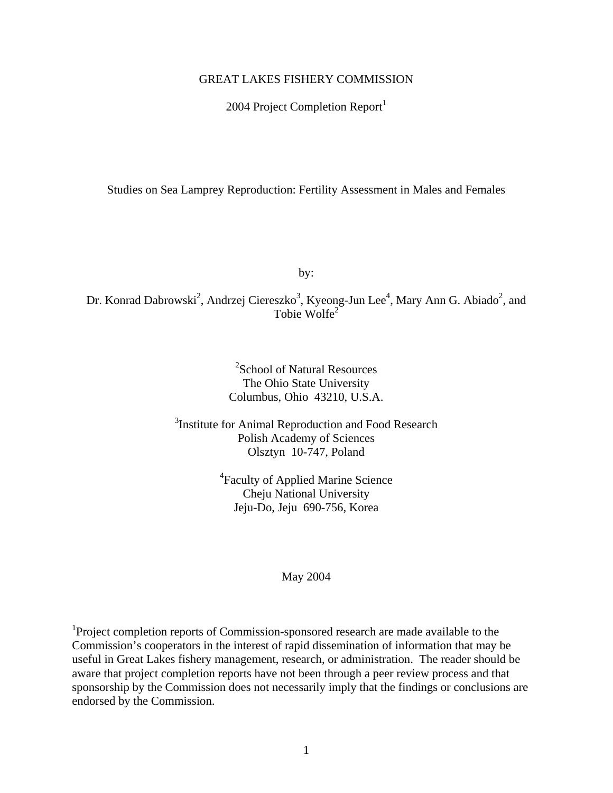### GREAT LAKES FISHERY COMMISSION

2004 Project Completion Report $<sup>1</sup>$ </sup>

Studies on Sea Lamprey Reproduction: Fertility Assessment in Males and Females

by:

Dr. Konrad Dabrowski<sup>2</sup>, Andrzej Ciereszko<sup>3</sup>, Kyeong-Jun Lee<sup>4</sup>, Mary Ann G. Abiado<sup>2</sup>, and Tobie Wolfe<sup>2</sup>

> 2 School of Natural Resources The Ohio State University Columbus, Ohio 43210, U.S.A.

<sup>3</sup>Institute for Animal Reproduction and Food Research Polish Academy of Sciences Olsztyn 10-747, Poland

> 4 Faculty of Applied Marine Science Cheju National University Jeju-Do, Jeju 690-756, Korea

#### May 2004

<sup>1</sup>Project completion reports of Commission-sponsored research are made available to the Commission's cooperators in the interest of rapid dissemination of information that may be useful in Great Lakes fishery management, research, or administration. The reader should be aware that project completion reports have not been through a peer review process and that sponsorship by the Commission does not necessarily imply that the findings or conclusions are endorsed by the Commission.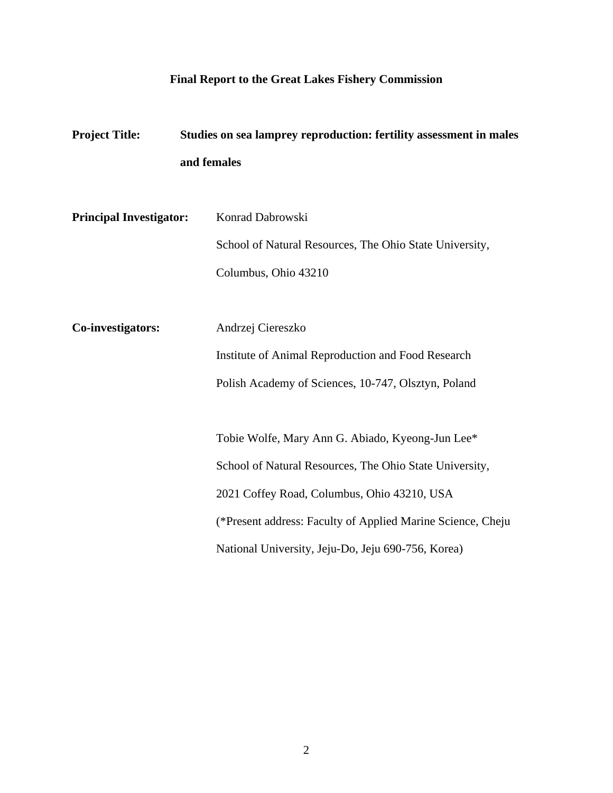## **Final Report to the Great Lakes Fishery Commission**

| <b>Project Title:</b>          | Studies on sea lamprey reproduction: fertility assessment in males |  |  |  |
|--------------------------------|--------------------------------------------------------------------|--|--|--|
|                                | and females                                                        |  |  |  |
|                                |                                                                    |  |  |  |
| <b>Principal Investigator:</b> | Konrad Dabrowski                                                   |  |  |  |
|                                | School of Natural Resources, The Ohio State University,            |  |  |  |
|                                | Columbus, Ohio 43210                                               |  |  |  |
|                                |                                                                    |  |  |  |
| Co-investigators:              | Andrzej Ciereszko                                                  |  |  |  |
|                                | Institute of Animal Reproduction and Food Research                 |  |  |  |
|                                | Polish Academy of Sciences, 10-747, Olsztyn, Poland                |  |  |  |
|                                |                                                                    |  |  |  |
|                                | Tobie Wolfe, Mary Ann G. Abiado, Kyeong-Jun Lee*                   |  |  |  |
|                                | School of Natural Resources, The Ohio State University,            |  |  |  |
|                                | 2021 Coffey Road, Columbus, Ohio 43210, USA                        |  |  |  |
|                                | (*Present address: Faculty of Applied Marine Science, Cheju        |  |  |  |
|                                | National University, Jeju-Do, Jeju 690-756, Korea)                 |  |  |  |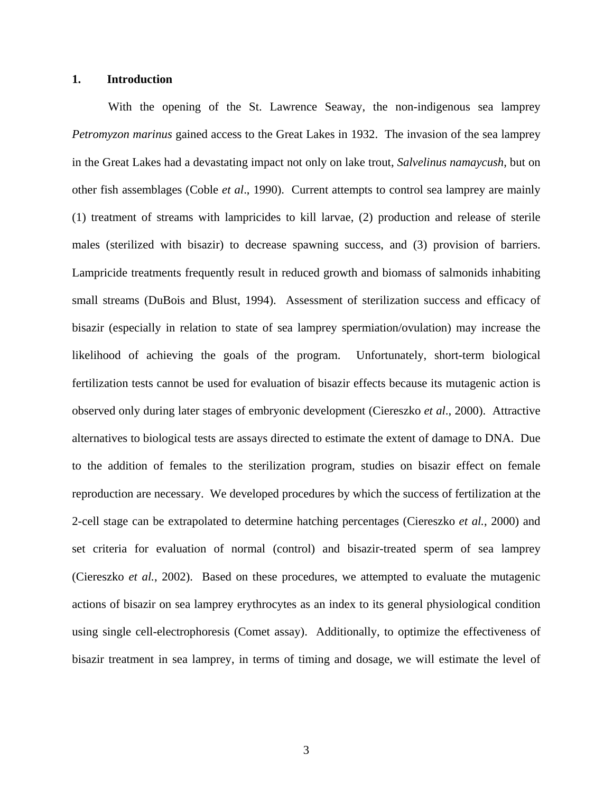### **1. Introduction**

With the opening of the St. Lawrence Seaway, the non-indigenous sea lamprey *Petromyzon marinus* gained access to the Great Lakes in 1932. The invasion of the sea lamprey in the Great Lakes had a devastating impact not only on lake trout, *Salvelinus namaycush*, but on other fish assemblages (Coble *et al*., 1990). Current attempts to control sea lamprey are mainly (1) treatment of streams with lampricides to kill larvae, (2) production and release of sterile males (sterilized with bisazir) to decrease spawning success, and (3) provision of barriers. Lampricide treatments frequently result in reduced growth and biomass of salmonids inhabiting small streams (DuBois and Blust, 1994). Assessment of sterilization success and efficacy of bisazir (especially in relation to state of sea lamprey spermiation/ovulation) may increase the likelihood of achieving the goals of the program. Unfortunately, short-term biological fertilization tests cannot be used for evaluation of bisazir effects because its mutagenic action is observed only during later stages of embryonic development (Ciereszko *et al*., 2000). Attractive alternatives to biological tests are assays directed to estimate the extent of damage to DNA. Due to the addition of females to the sterilization program, studies on bisazir effect on female reproduction are necessary. We developed procedures by which the success of fertilization at the 2-cell stage can be extrapolated to determine hatching percentages (Ciereszko *et al.*, 2000) and set criteria for evaluation of normal (control) and bisazir-treated sperm of sea lamprey (Ciereszko *et al.*, 2002). Based on these procedures, we attempted to evaluate the mutagenic actions of bisazir on sea lamprey erythrocytes as an index to its general physiological condition using single cell-electrophoresis (Comet assay). Additionally, to optimize the effectiveness of bisazir treatment in sea lamprey, in terms of timing and dosage, we will estimate the level of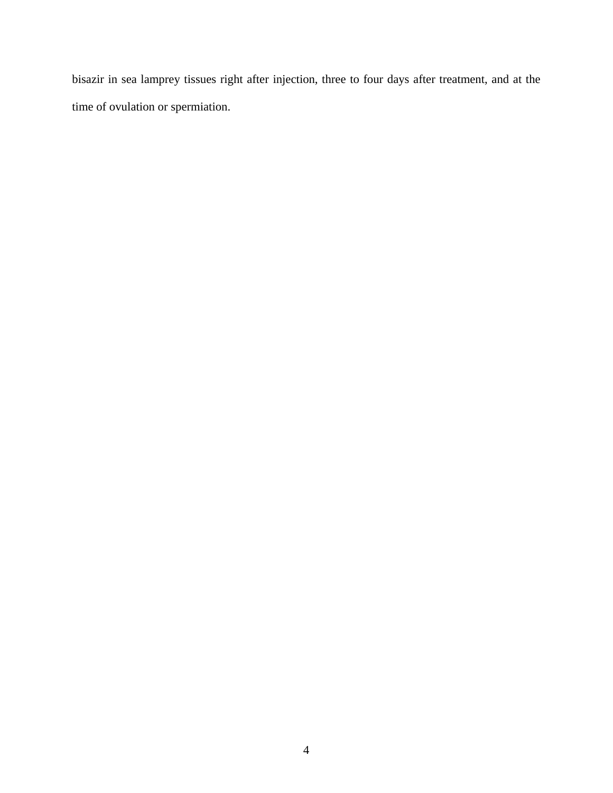bisazir in sea lamprey tissues right after injection, three to four days after treatment, and at the time of ovulation or spermiation.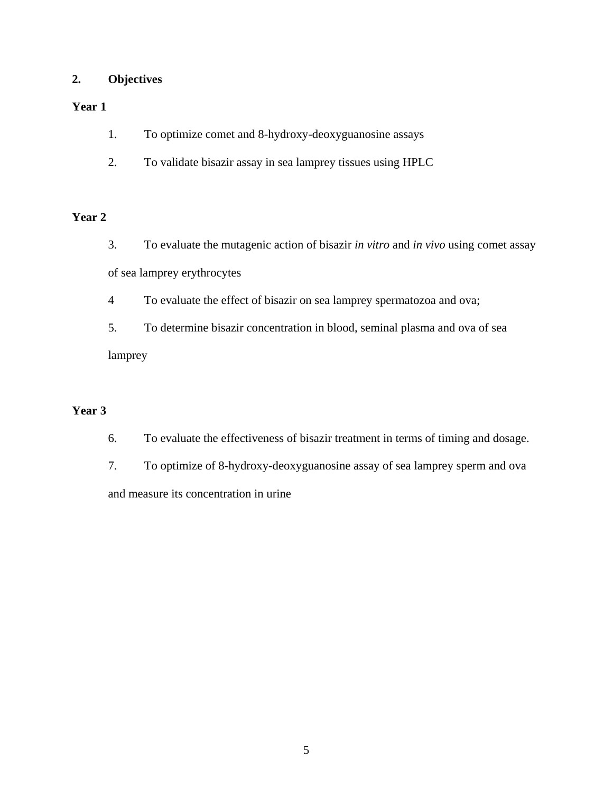## **2. Objectives**

## **Year 1**

- 1. To optimize comet and 8-hydroxy-deoxyguanosine assays
- 2. To validate bisazir assay in sea lamprey tissues using HPLC

## **Year 2**

- 3. To evaluate the mutagenic action of bisazir *in vitro* and *in vivo* using comet assay of sea lamprey erythrocytes
- 4 To evaluate the effect of bisazir on sea lamprey spermatozoa and ova;
- 5. To determine bisazir concentration in blood, seminal plasma and ova of sea lamprey

## **Year 3**

- 6. To evaluate the effectiveness of bisazir treatment in terms of timing and dosage.
- 7. To optimize of 8-hydroxy-deoxyguanosine assay of sea lamprey sperm and ova and measure its concentration in urine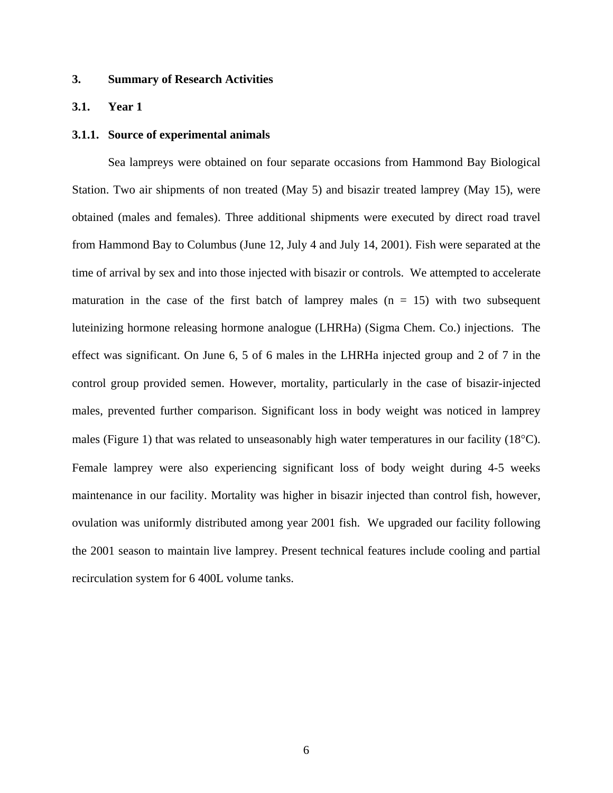## **3. Summary of Research Activities**

#### **3.1. Year 1**

#### **3.1.1. Source of experimental animals**

Sea lampreys were obtained on four separate occasions from Hammond Bay Biological Station. Two air shipments of non treated (May 5) and bisazir treated lamprey (May 15), were obtained (males and females). Three additional shipments were executed by direct road travel from Hammond Bay to Columbus (June 12, July 4 and July 14, 2001). Fish were separated at the time of arrival by sex and into those injected with bisazir or controls. We attempted to accelerate maturation in the case of the first batch of lamprey males  $(n = 15)$  with two subsequent luteinizing hormone releasing hormone analogue (LHRHa) (Sigma Chem. Co.) injections. The effect was significant. On June 6, 5 of 6 males in the LHRHa injected group and 2 of 7 in the control group provided semen. However, mortality, particularly in the case of bisazir-injected males, prevented further comparison. Significant loss in body weight was noticed in lamprey males (Figure 1) that was related to unseasonably high water temperatures in our facility (18°C). Female lamprey were also experiencing significant loss of body weight during 4-5 weeks maintenance in our facility. Mortality was higher in bisazir injected than control fish, however, ovulation was uniformly distributed among year 2001 fish. We upgraded our facility following the 2001 season to maintain live lamprey. Present technical features include cooling and partial recirculation system for 6 400L volume tanks.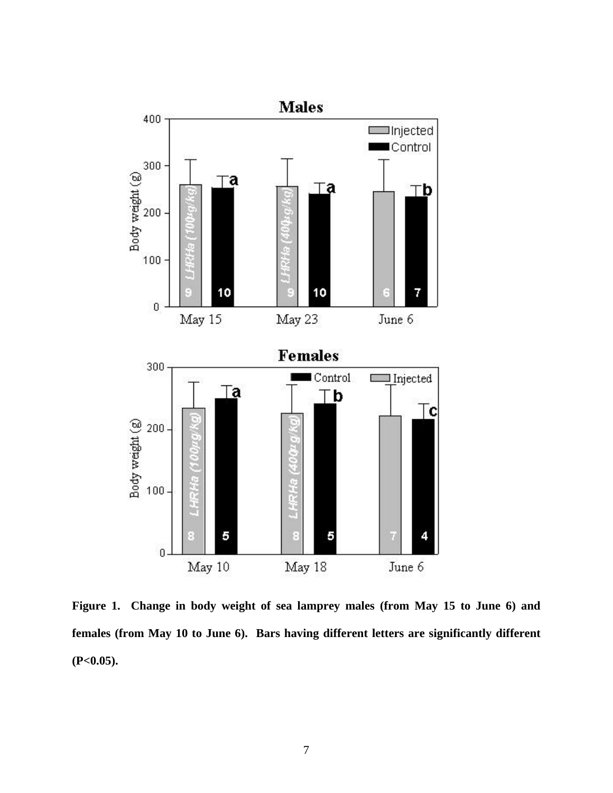

**Figure 1. Change in body weight of sea lamprey males (from May 15 to June 6) and females (from May 10 to June 6). Bars having different letters are significantly different (P<0.05).**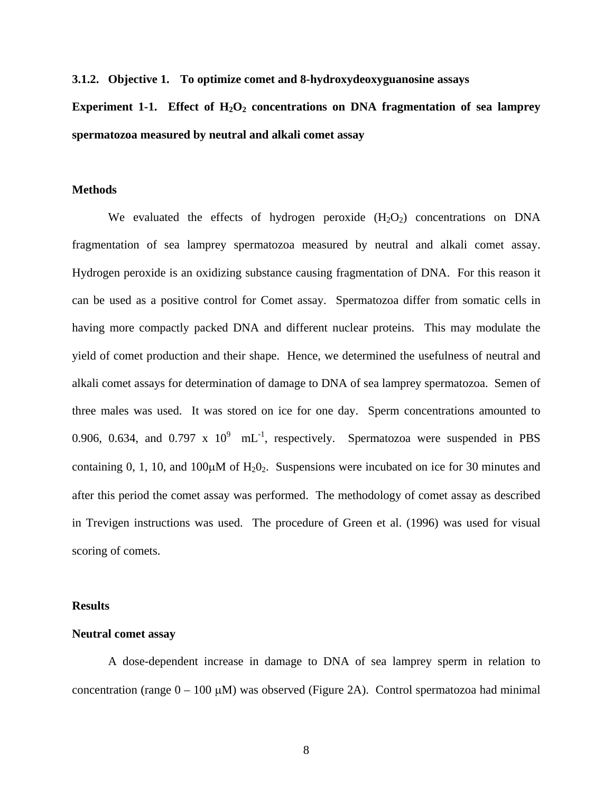**3.1.2. Objective 1. To optimize comet and 8-hydroxydeoxyguanosine assays** 

**Experiment 1-1.** Effect of  $H_2O_2$  concentrations on DNA fragmentation of sea lamprey **spermatozoa measured by neutral and alkali comet assay** 

### **Methods**

We evaluated the effects of hydrogen peroxide  $(H_2O_2)$  concentrations on DNA fragmentation of sea lamprey spermatozoa measured by neutral and alkali comet assay. Hydrogen peroxide is an oxidizing substance causing fragmentation of DNA. For this reason it can be used as a positive control for Comet assay. Spermatozoa differ from somatic cells in having more compactly packed DNA and different nuclear proteins. This may modulate the yield of comet production and their shape. Hence, we determined the usefulness of neutral and alkali comet assays for determination of damage to DNA of sea lamprey spermatozoa. Semen of three males was used. It was stored on ice for one day. Sperm concentrations amounted to 0.906, 0.634, and 0.797 x  $10^9$  mL<sup>-1</sup>, respectively. Spermatozoa were suspended in PBS containing 0, 1, 10, and 100 $\mu$ M of H<sub>2</sub>O<sub>2</sub>. Suspensions were incubated on ice for 30 minutes and after this period the comet assay was performed. The methodology of comet assay as described in Trevigen instructions was used. The procedure of Green et al. (1996) was used for visual scoring of comets.

#### **Results**

### **Neutral comet assay**

A dose-dependent increase in damage to DNA of sea lamprey sperm in relation to concentration (range  $0 - 100 \mu M$ ) was observed (Figure 2A). Control spermatozoa had minimal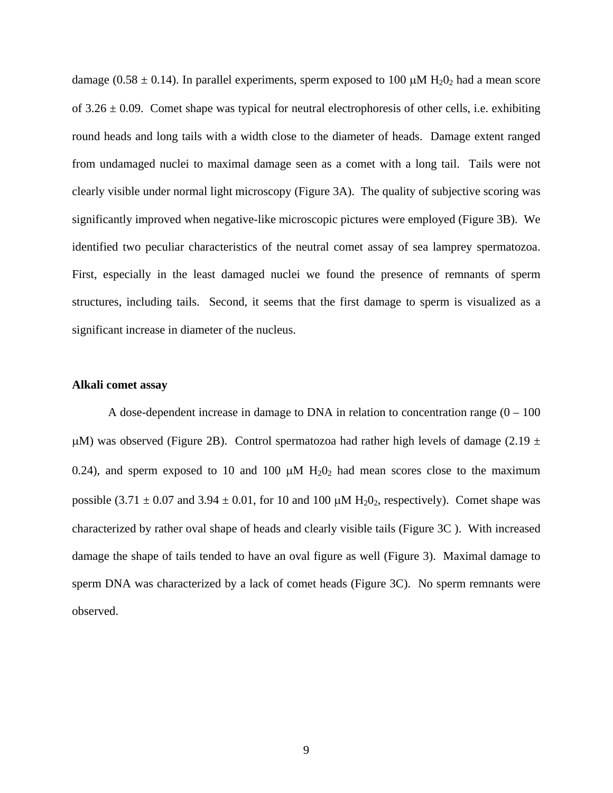damage (0.58  $\pm$  0.14). In parallel experiments, sperm exposed to 100  $\mu$ M H<sub>2</sub>O<sub>2</sub> had a mean score of  $3.26 \pm 0.09$ . Comet shape was typical for neutral electrophoresis of other cells, i.e. exhibiting round heads and long tails with a width close to the diameter of heads. Damage extent ranged from undamaged nuclei to maximal damage seen as a comet with a long tail. Tails were not clearly visible under normal light microscopy (Figure 3A). The quality of subjective scoring was significantly improved when negative-like microscopic pictures were employed (Figure 3B). We identified two peculiar characteristics of the neutral comet assay of sea lamprey spermatozoa. First, especially in the least damaged nuclei we found the presence of remnants of sperm structures, including tails. Second, it seems that the first damage to sperm is visualized as a significant increase in diameter of the nucleus.

### **Alkali comet assay**

A dose-dependent increase in damage to DNA in relation to concentration range  $(0 - 100)$  $\mu$ M) was observed (Figure 2B). Control spermatozoa had rather high levels of damage (2.19  $\pm$ 0.24), and sperm exposed to 10 and 100  $\mu$ M H<sub>2</sub>O<sub>2</sub> had mean scores close to the maximum possible (3.71  $\pm$  0.07 and 3.94  $\pm$  0.01, for 10 and 100  $\mu$ M H<sub>2</sub>0<sub>2</sub>, respectively). Comet shape was characterized by rather oval shape of heads and clearly visible tails (Figure 3C ). With increased damage the shape of tails tended to have an oval figure as well (Figure 3). Maximal damage to sperm DNA was characterized by a lack of comet heads (Figure 3C). No sperm remnants were observed.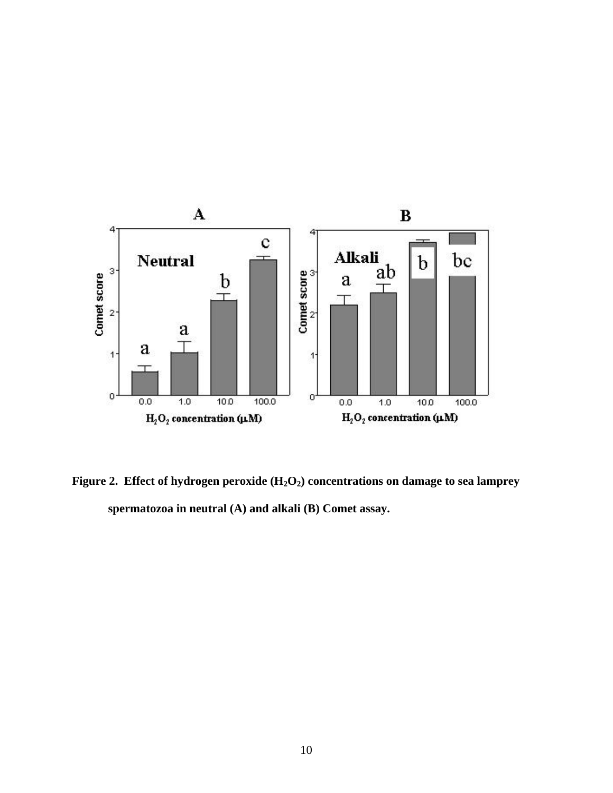

Figure 2. Effect of hydrogen peroxide (H<sub>2</sub>O<sub>2</sub>) concentrations on damage to sea lamprey **spermatozoa in neutral (A) and alkali (B) Comet assay.**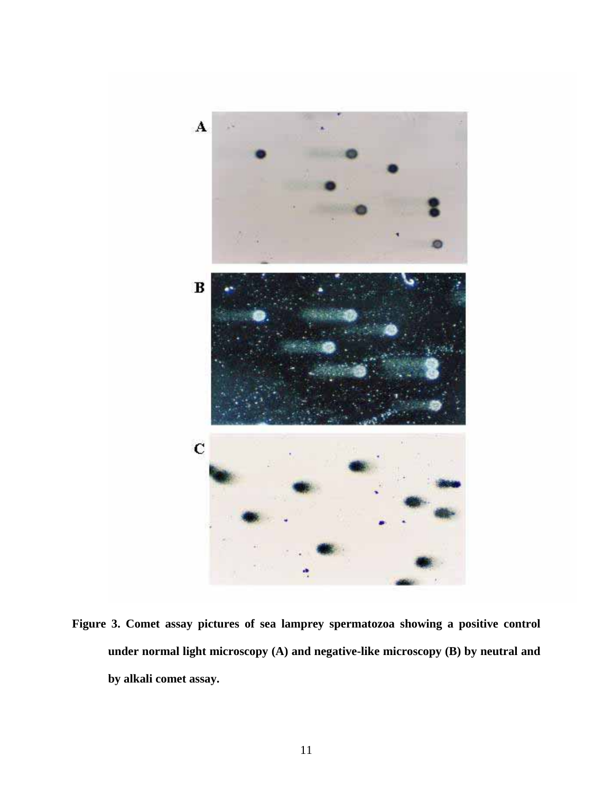

**Figure 3. Comet assay pictures of sea lamprey spermatozoa showing a positive control under normal light microscopy (A) and negative-like microscopy (B) by neutral and by alkali comet assay.**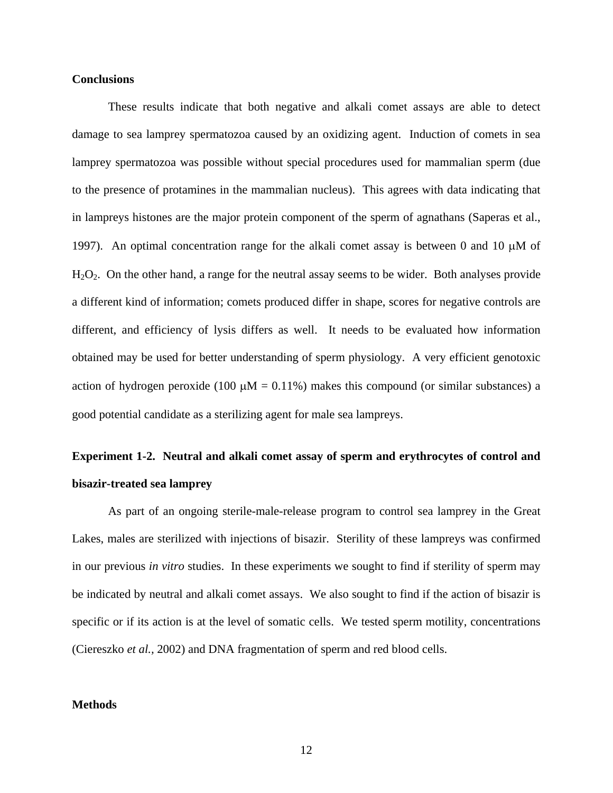#### **Conclusions**

These results indicate that both negative and alkali comet assays are able to detect damage to sea lamprey spermatozoa caused by an oxidizing agent. Induction of comets in sea lamprey spermatozoa was possible without special procedures used for mammalian sperm (due to the presence of protamines in the mammalian nucleus). This agrees with data indicating that in lampreys histones are the major protein component of the sperm of agnathans (Saperas et al., 1997). An optimal concentration range for the alkali comet assay is between 0 and 10  $\mu$ M of H2O2. On the other hand, a range for the neutral assay seems to be wider. Both analyses provide a different kind of information; comets produced differ in shape, scores for negative controls are different, and efficiency of lysis differs as well. It needs to be evaluated how information obtained may be used for better understanding of sperm physiology. A very efficient genotoxic action of hydrogen peroxide (100  $\mu$ M = 0.11%) makes this compound (or similar substances) a good potential candidate as a sterilizing agent for male sea lampreys.

# **Experiment 1-2. Neutral and alkali comet assay of sperm and erythrocytes of control and bisazir-treated sea lamprey**

As part of an ongoing sterile-male-release program to control sea lamprey in the Great Lakes, males are sterilized with injections of bisazir. Sterility of these lampreys was confirmed in our previous *in vitro* studies. In these experiments we sought to find if sterility of sperm may be indicated by neutral and alkali comet assays. We also sought to find if the action of bisazir is specific or if its action is at the level of somatic cells. We tested sperm motility, concentrations (Ciereszko *et al.,* 2002) and DNA fragmentation of sperm and red blood cells.

## **Methods**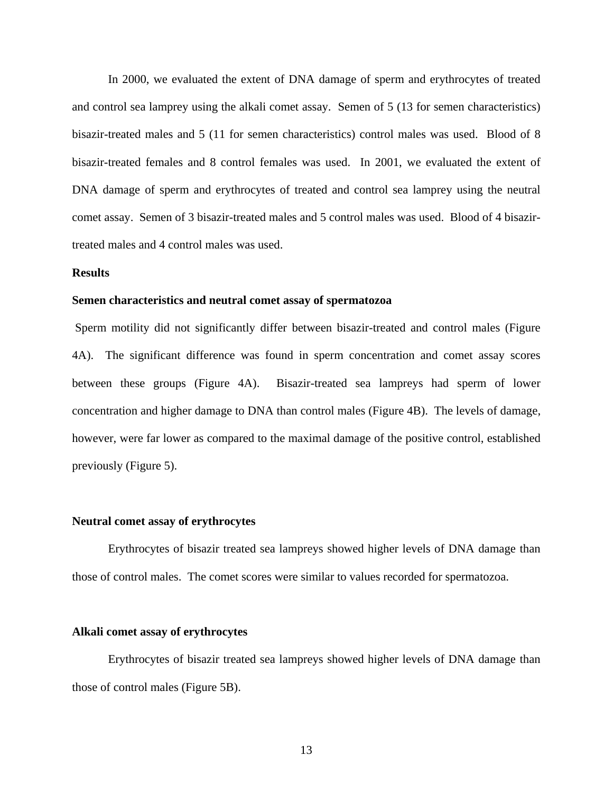In 2000, we evaluated the extent of DNA damage of sperm and erythrocytes of treated and control sea lamprey using the alkali comet assay. Semen of 5 (13 for semen characteristics) bisazir-treated males and 5 (11 for semen characteristics) control males was used. Blood of 8 bisazir-treated females and 8 control females was used. In 2001, we evaluated the extent of DNA damage of sperm and erythrocytes of treated and control sea lamprey using the neutral comet assay. Semen of 3 bisazir-treated males and 5 control males was used. Blood of 4 bisazirtreated males and 4 control males was used.

#### **Results**

#### **Semen characteristics and neutral comet assay of spermatozoa**

Sperm motility did not significantly differ between bisazir-treated and control males (Figure 4A). The significant difference was found in sperm concentration and comet assay scores between these groups (Figure 4A). Bisazir-treated sea lampreys had sperm of lower concentration and higher damage to DNA than control males (Figure 4B). The levels of damage, however, were far lower as compared to the maximal damage of the positive control, established previously (Figure 5).

#### **Neutral comet assay of erythrocytes**

Erythrocytes of bisazir treated sea lampreys showed higher levels of DNA damage than those of control males. The comet scores were similar to values recorded for spermatozoa.

#### **Alkali comet assay of erythrocytes**

Erythrocytes of bisazir treated sea lampreys showed higher levels of DNA damage than those of control males (Figure 5B).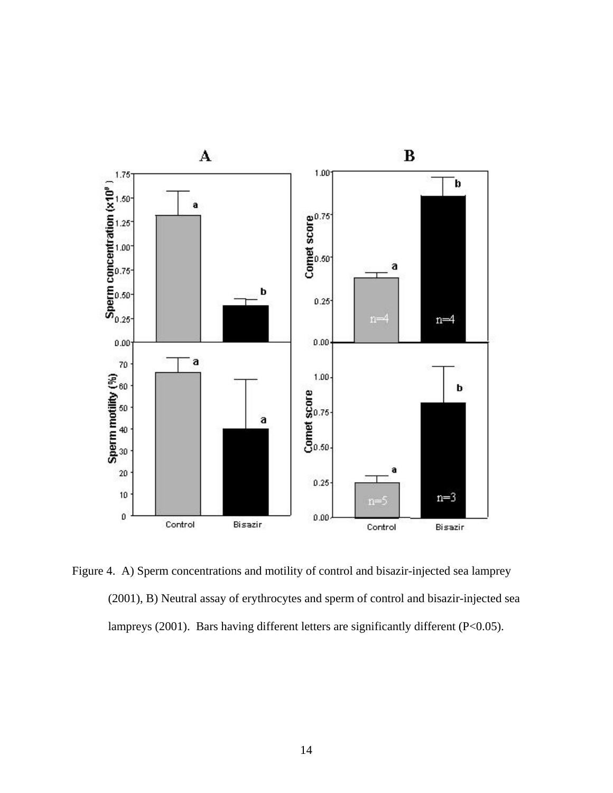

Figure 4. A) Sperm concentrations and motility of control and bisazir-injected sea lamprey (2001), B) Neutral assay of erythrocytes and sperm of control and bisazir-injected sea lampreys (2001). Bars having different letters are significantly different (P<0.05).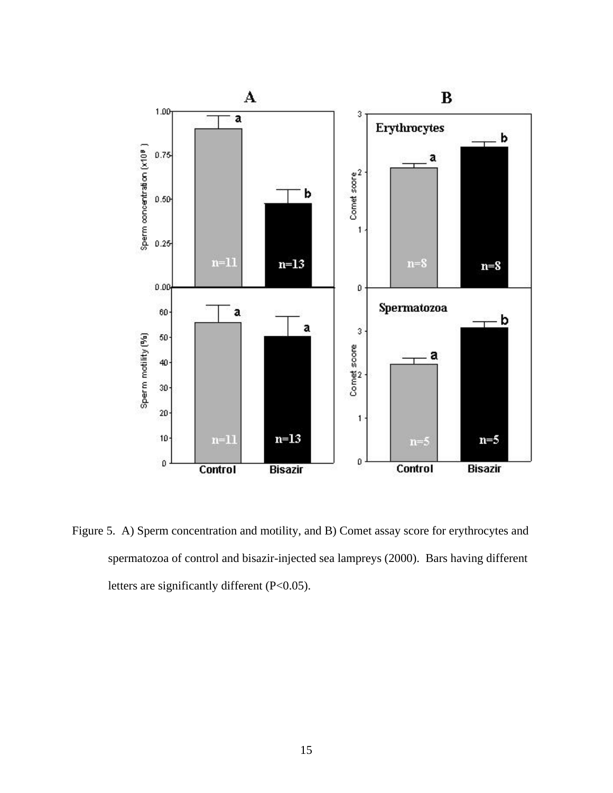

Figure 5. A) Sperm concentration and motility, and B) Comet assay score for erythrocytes and spermatozoa of control and bisazir-injected sea lampreys (2000). Bars having different letters are significantly different (P<0.05).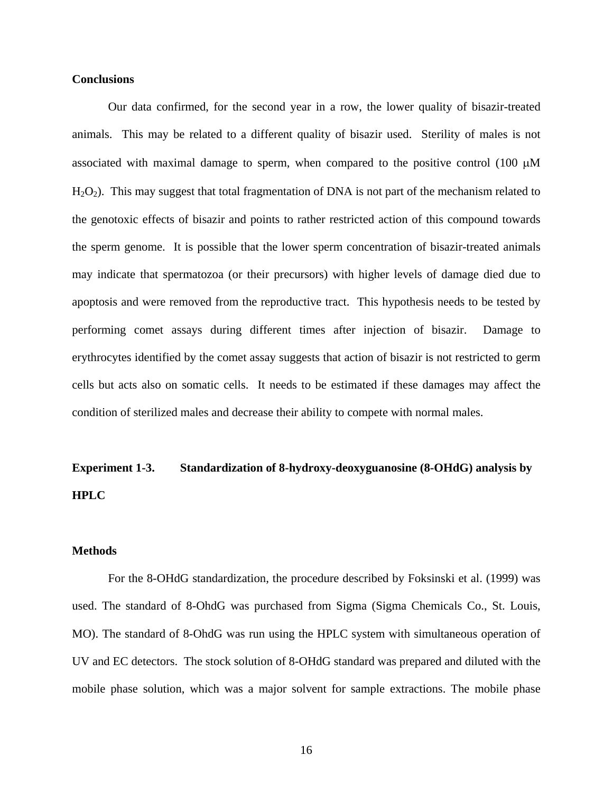#### **Conclusions**

Our data confirmed, for the second year in a row, the lower quality of bisazir-treated animals. This may be related to a different quality of bisazir used. Sterility of males is not associated with maximal damage to sperm, when compared to the positive control (100  $\mu$ M  $H<sub>2</sub>O<sub>2</sub>$ ). This may suggest that total fragmentation of DNA is not part of the mechanism related to the genotoxic effects of bisazir and points to rather restricted action of this compound towards the sperm genome. It is possible that the lower sperm concentration of bisazir-treated animals may indicate that spermatozoa (or their precursors) with higher levels of damage died due to apoptosis and were removed from the reproductive tract. This hypothesis needs to be tested by performing comet assays during different times after injection of bisazir. Damage to erythrocytes identified by the comet assay suggests that action of bisazir is not restricted to germ cells but acts also on somatic cells. It needs to be estimated if these damages may affect the condition of sterilized males and decrease their ability to compete with normal males.

# **Experiment 1-3. Standardization of 8-hydroxy-deoxyguanosine (8-OHdG) analysis by HPLC**

## **Methods**

For the 8-OHdG standardization, the procedure described by Foksinski et al. (1999) was used. The standard of 8-OhdG was purchased from Sigma (Sigma Chemicals Co., St. Louis, MO). The standard of 8-OhdG was run using the HPLC system with simultaneous operation of UV and EC detectors. The stock solution of 8-OHdG standard was prepared and diluted with the mobile phase solution, which was a major solvent for sample extractions. The mobile phase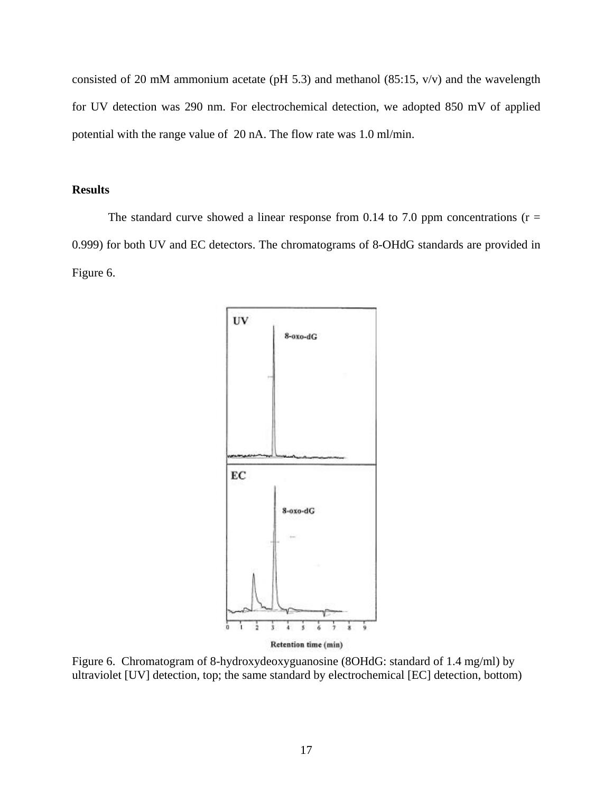consisted of 20 mM ammonium acetate (pH 5.3) and methanol (85:15, v/v) and the wavelength for UV detection was 290 nm. For electrochemical detection, we adopted 850 mV of applied potential with the range value of 20 nA. The flow rate was 1.0 ml/min.

## **Results**

The standard curve showed a linear response from 0.14 to 7.0 ppm concentrations ( $r =$ 0.999) for both UV and EC detectors. The chromatograms of 8-OHdG standards are provided in Figure 6.



Figure 6. Chromatogram of 8-hydroxydeoxyguanosine (8OHdG: standard of 1.4 mg/ml) by ultraviolet [UV] detection, top; the same standard by electrochemical [EC] detection, bottom)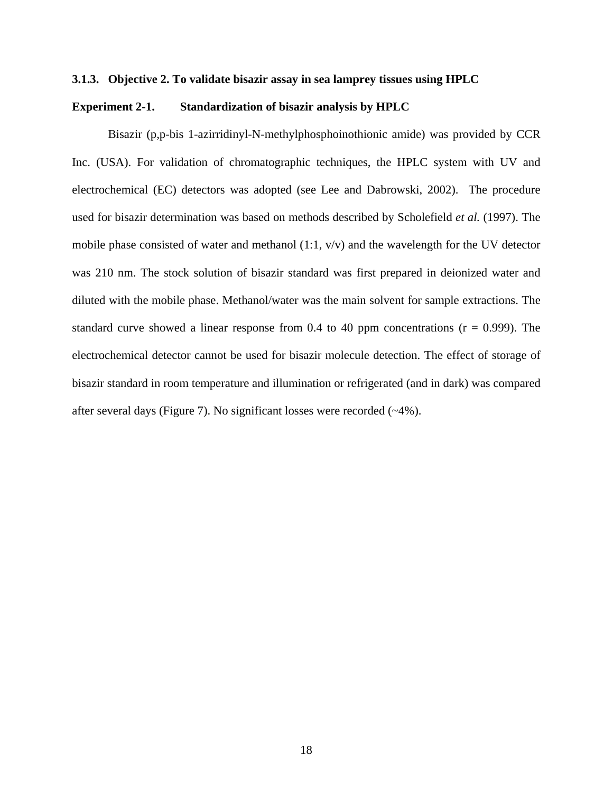#### **3.1.3. Objective 2. To validate bisazir assay in sea lamprey tissues using HPLC**

#### **Experiment 2-1. Standardization of bisazir analysis by HPLC**

Bisazir (p,p-bis 1-azirridinyl-N-methylphosphoinothionic amide) was provided by CCR Inc. (USA). For validation of chromatographic techniques, the HPLC system with UV and electrochemical (EC) detectors was adopted (see Lee and Dabrowski, 2002). The procedure used for bisazir determination was based on methods described by Scholefield *et al.* (1997). The mobile phase consisted of water and methanol (1:1, v/v) and the wavelength for the UV detector was 210 nm. The stock solution of bisazir standard was first prepared in deionized water and diluted with the mobile phase. Methanol/water was the main solvent for sample extractions. The standard curve showed a linear response from  $0.4$  to  $40$  ppm concentrations ( $r = 0.999$ ). The electrochemical detector cannot be used for bisazir molecule detection. The effect of storage of bisazir standard in room temperature and illumination or refrigerated (and in dark) was compared after several days (Figure 7). No significant losses were recorded (~4%).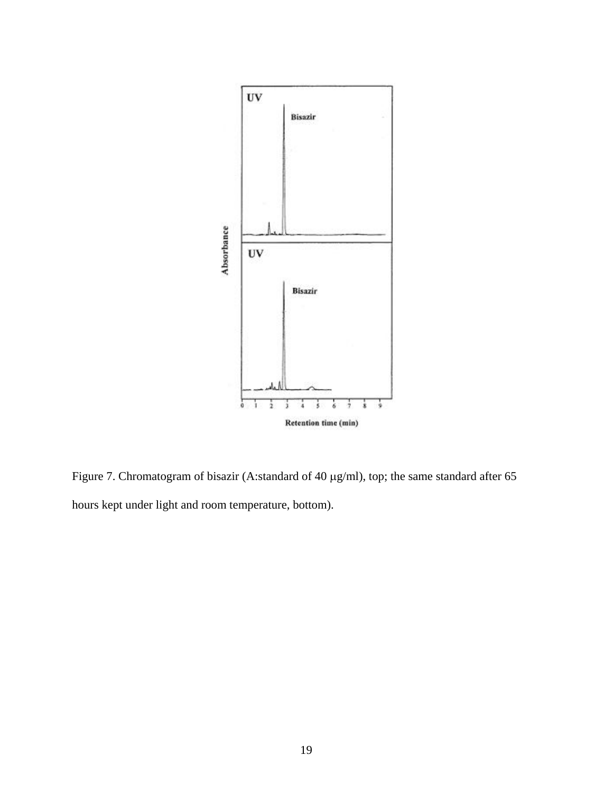

Figure 7. Chromatogram of bisazir (A:standard of 40 µg/ml), top; the same standard after 65 hours kept under light and room temperature, bottom).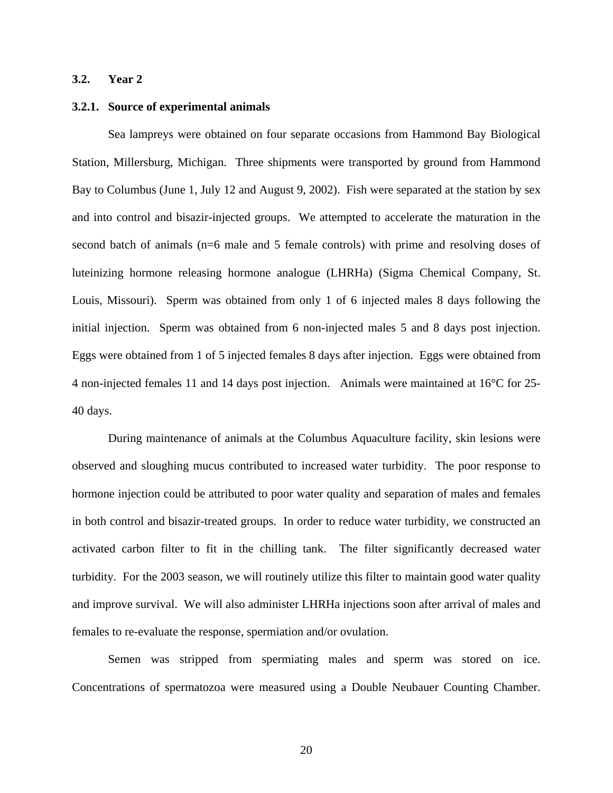## **3.2. Year 2**

#### **3.2.1. Source of experimental animals**

Sea lampreys were obtained on four separate occasions from Hammond Bay Biological Station, Millersburg, Michigan. Three shipments were transported by ground from Hammond Bay to Columbus (June 1, July 12 and August 9, 2002). Fish were separated at the station by sex and into control and bisazir-injected groups. We attempted to accelerate the maturation in the second batch of animals (n=6 male and 5 female controls) with prime and resolving doses of luteinizing hormone releasing hormone analogue (LHRHa) (Sigma Chemical Company, St. Louis, Missouri). Sperm was obtained from only 1 of 6 injected males 8 days following the initial injection. Sperm was obtained from 6 non-injected males 5 and 8 days post injection. Eggs were obtained from 1 of 5 injected females 8 days after injection. Eggs were obtained from 4 non-injected females 11 and 14 days post injection. Animals were maintained at 16°C for 25- 40 days.

During maintenance of animals at the Columbus Aquaculture facility, skin lesions were observed and sloughing mucus contributed to increased water turbidity. The poor response to hormone injection could be attributed to poor water quality and separation of males and females in both control and bisazir-treated groups. In order to reduce water turbidity, we constructed an activated carbon filter to fit in the chilling tank. The filter significantly decreased water turbidity. For the 2003 season, we will routinely utilize this filter to maintain good water quality and improve survival. We will also administer LHRHa injections soon after arrival of males and females to re-evaluate the response, spermiation and/or ovulation.

Semen was stripped from spermiating males and sperm was stored on ice. Concentrations of spermatozoa were measured using a Double Neubauer Counting Chamber.

20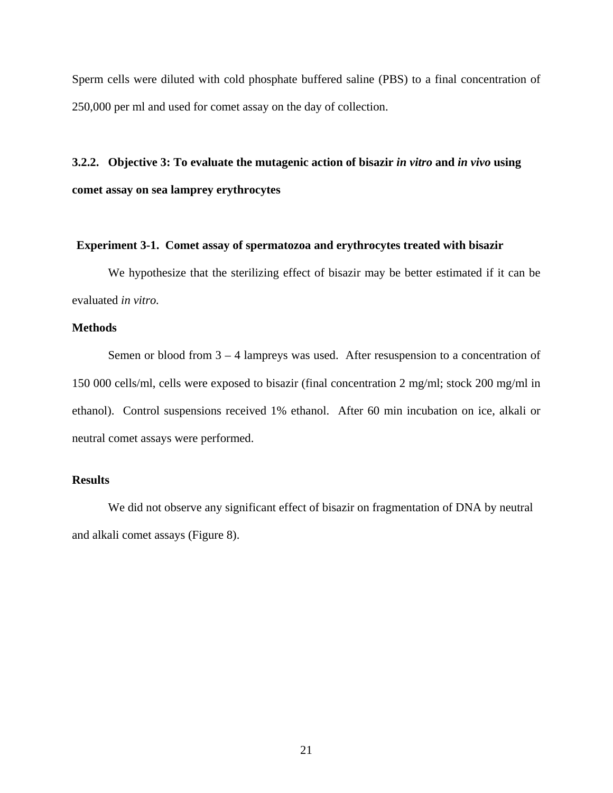Sperm cells were diluted with cold phosphate buffered saline (PBS) to a final concentration of 250,000 per ml and used for comet assay on the day of collection.

## **3.2.2. Objective 3: To evaluate the mutagenic action of bisazir** *in vitro* **and** *in vivo* **using comet assay on sea lamprey erythrocytes**

#### **Experiment 3-1. Comet assay of spermatozoa and erythrocytes treated with bisazir**

We hypothesize that the sterilizing effect of bisazir may be better estimated if it can be evaluated *in vitro.*

## **Methods**

Semen or blood from 3 – 4 lampreys was used. After resuspension to a concentration of 150 000 cells/ml, cells were exposed to bisazir (final concentration 2 mg/ml; stock 200 mg/ml in ethanol). Control suspensions received 1% ethanol. After 60 min incubation on ice, alkali or neutral comet assays were performed.

### **Results**

We did not observe any significant effect of bisazir on fragmentation of DNA by neutral and alkali comet assays (Figure 8).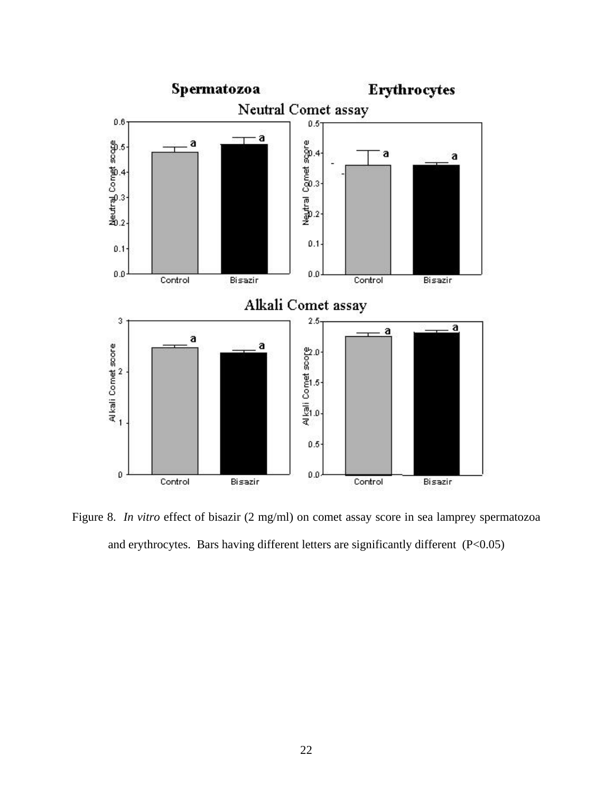

Figure 8. *In vitro* effect of bisazir (2 mg/ml) on comet assay score in sea lamprey spermatozoa and erythrocytes. Bars having different letters are significantly different (P<0.05)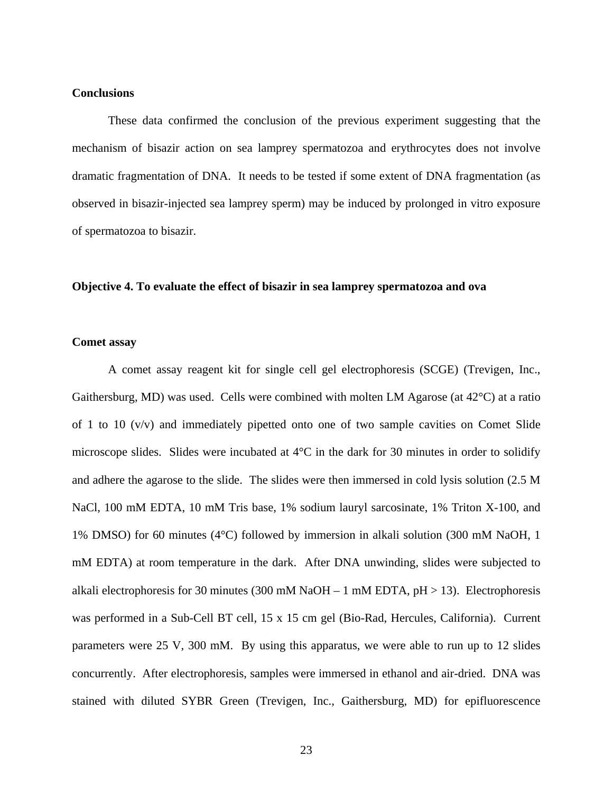#### **Conclusions**

These data confirmed the conclusion of the previous experiment suggesting that the mechanism of bisazir action on sea lamprey spermatozoa and erythrocytes does not involve dramatic fragmentation of DNA. It needs to be tested if some extent of DNA fragmentation (as observed in bisazir-injected sea lamprey sperm) may be induced by prolonged in vitro exposure of spermatozoa to bisazir.

#### **Objective 4. To evaluate the effect of bisazir in sea lamprey spermatozoa and ova**

#### **Comet assay**

A comet assay reagent kit for single cell gel electrophoresis (SCGE) (Trevigen, Inc., Gaithersburg, MD) was used. Cells were combined with molten LM Agarose (at  $42^{\circ}$ C) at a ratio of 1 to 10 (v/v) and immediately pipetted onto one of two sample cavities on Comet Slide microscope slides. Slides were incubated at 4°C in the dark for 30 minutes in order to solidify and adhere the agarose to the slide. The slides were then immersed in cold lysis solution (2.5 M NaCl, 100 mM EDTA, 10 mM Tris base, 1% sodium lauryl sarcosinate, 1% Triton X-100, and 1% DMSO) for 60 minutes (4°C) followed by immersion in alkali solution (300 mM NaOH, 1 mM EDTA) at room temperature in the dark. After DNA unwinding, slides were subjected to alkali electrophoresis for 30 minutes (300 mM NaOH – 1 mM EDTA,  $pH > 13$ ). Electrophoresis was performed in a Sub-Cell BT cell, 15 x 15 cm gel (Bio-Rad, Hercules, California). Current parameters were 25 V, 300 mM. By using this apparatus, we were able to run up to 12 slides concurrently. After electrophoresis, samples were immersed in ethanol and air-dried. DNA was stained with diluted SYBR Green (Trevigen, Inc., Gaithersburg, MD) for epifluorescence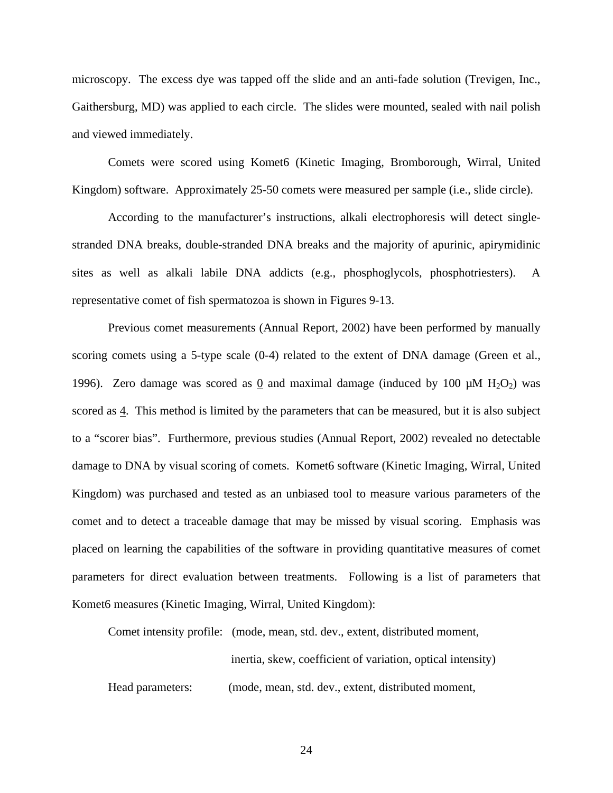microscopy. The excess dye was tapped off the slide and an anti-fade solution (Trevigen, Inc., Gaithersburg, MD) was applied to each circle. The slides were mounted, sealed with nail polish and viewed immediately.

Comets were scored using Komet6 (Kinetic Imaging, Bromborough, Wirral, United Kingdom) software. Approximately 25-50 comets were measured per sample (i.e., slide circle).

According to the manufacturer's instructions, alkali electrophoresis will detect singlestranded DNA breaks, double-stranded DNA breaks and the majority of apurinic, apirymidinic sites as well as alkali labile DNA addicts (e.g., phosphoglycols, phosphotriesters). A representative comet of fish spermatozoa is shown in Figures 9-13.

Previous comet measurements (Annual Report, 2002) have been performed by manually scoring comets using a 5-type scale (0-4) related to the extent of DNA damage (Green et al., 1996). Zero damage was scored as 0 and maximal damage (induced by 100  $\mu$ M H<sub>2</sub>O<sub>2</sub>) was scored as 4. This method is limited by the parameters that can be measured, but it is also subject to a "scorer bias". Furthermore, previous studies (Annual Report, 2002) revealed no detectable damage to DNA by visual scoring of comets. Komet6 software (Kinetic Imaging, Wirral, United Kingdom) was purchased and tested as an unbiased tool to measure various parameters of the comet and to detect a traceable damage that may be missed by visual scoring. Emphasis was placed on learning the capabilities of the software in providing quantitative measures of comet parameters for direct evaluation between treatments. Following is a list of parameters that Komet6 measures (Kinetic Imaging, Wirral, United Kingdom):

Comet intensity profile: (mode, mean, std. dev., extent, distributed moment,

inertia, skew, coefficient of variation, optical intensity)

Head parameters: (mode, mean, std. dev., extent, distributed moment,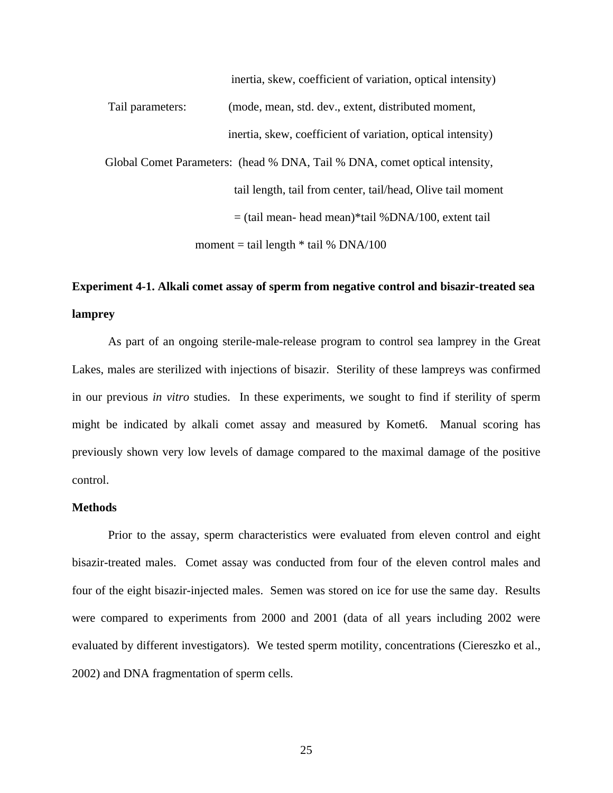inertia, skew, coefficient of variation, optical intensity) Tail parameters: (mode, mean, std. dev., extent, distributed moment, inertia, skew, coefficient of variation, optical intensity) Global Comet Parameters: (head % DNA, Tail % DNA, comet optical intensity, tail length, tail from center, tail/head, Olive tail moment  $=$  (tail mean- head mean)\*tail %DNA/100, extent tail moment = tail length  $*$  tail % DNA/100

## **Experiment 4-1. Alkali comet assay of sperm from negative control and bisazir-treated sea lamprey**

As part of an ongoing sterile-male-release program to control sea lamprey in the Great Lakes, males are sterilized with injections of bisazir. Sterility of these lampreys was confirmed in our previous *in vitro* studies. In these experiments, we sought to find if sterility of sperm might be indicated by alkali comet assay and measured by Komet6. Manual scoring has previously shown very low levels of damage compared to the maximal damage of the positive control.

### **Methods**

Prior to the assay, sperm characteristics were evaluated from eleven control and eight bisazir-treated males. Comet assay was conducted from four of the eleven control males and four of the eight bisazir-injected males. Semen was stored on ice for use the same day. Results were compared to experiments from 2000 and 2001 (data of all years including 2002 were evaluated by different investigators). We tested sperm motility, concentrations (Ciereszko et al., 2002) and DNA fragmentation of sperm cells.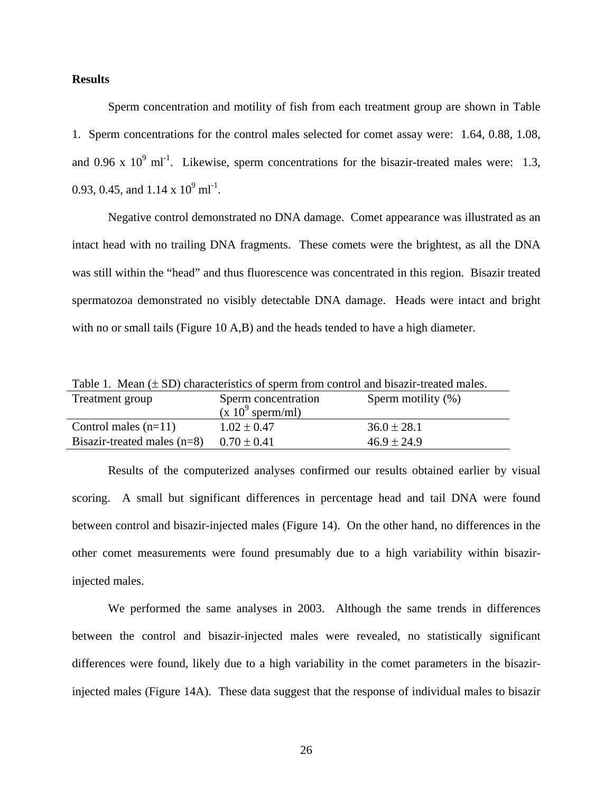## **Results**

Sperm concentration and motility of fish from each treatment group are shown in Table 1. Sperm concentrations for the control males selected for comet assay were: 1.64, 0.88, 1.08, and 0.96 x  $10^9$  ml<sup>-1</sup>. Likewise, sperm concentrations for the bisazir-treated males were: 1.3, 0.93, 0.45, and  $1.14 \times 10^9$  ml<sup>-1</sup>.

Negative control demonstrated no DNA damage. Comet appearance was illustrated as an intact head with no trailing DNA fragments. These comets were the brightest, as all the DNA was still within the "head" and thus fluorescence was concentrated in this region. Bisazir treated spermatozoa demonstrated no visibly detectable DNA damage. Heads were intact and bright with no or small tails (Figure 10 A,B) and the heads tended to have a high diameter.

| Table 1. Mean $(\pm SD)$ characteristics of sperm from control and bisazir-treated males. |                     |                       |  |  |  |
|-------------------------------------------------------------------------------------------|---------------------|-----------------------|--|--|--|
| Treatment group                                                                           | Sperm concentration | Sperm motility $(\%)$ |  |  |  |
|                                                                                           | $(x 10^9$ sperm/ml) |                       |  |  |  |
| Control males $(n=11)$                                                                    | $1.02 \pm 0.47$     | $36.0 \pm 28.1$       |  |  |  |
| Bisazir-treated males $(n=8)$                                                             | $0.70 \pm 0.41$     | $46.9 \pm 24.9$       |  |  |  |

Results of the computerized analyses confirmed our results obtained earlier by visual scoring. A small but significant differences in percentage head and tail DNA were found between control and bisazir-injected males (Figure 14). On the other hand, no differences in the other comet measurements were found presumably due to a high variability within bisazirinjected males.

We performed the same analyses in 2003. Although the same trends in differences between the control and bisazir-injected males were revealed, no statistically significant differences were found, likely due to a high variability in the comet parameters in the bisazirinjected males (Figure 14A). These data suggest that the response of individual males to bisazir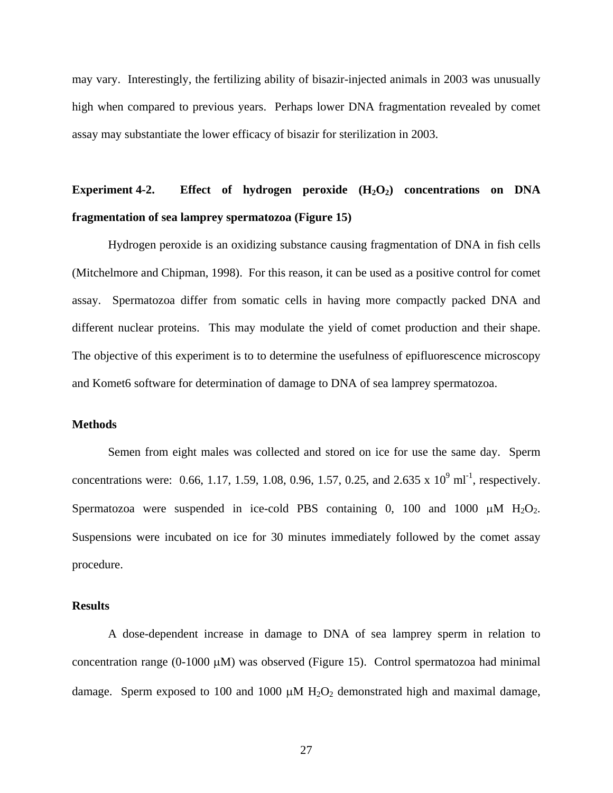may vary. Interestingly, the fertilizing ability of bisazir-injected animals in 2003 was unusually high when compared to previous years. Perhaps lower DNA fragmentation revealed by comet assay may substantiate the lower efficacy of bisazir for sterilization in 2003.

# **Experiment 4-2.** Effect of hydrogen peroxide  $(H_2O_2)$  concentrations on DNA **fragmentation of sea lamprey spermatozoa (Figure 15)**

Hydrogen peroxide is an oxidizing substance causing fragmentation of DNA in fish cells (Mitchelmore and Chipman, 1998). For this reason, it can be used as a positive control for comet assay. Spermatozoa differ from somatic cells in having more compactly packed DNA and different nuclear proteins. This may modulate the yield of comet production and their shape. The objective of this experiment is to to determine the usefulness of epifluorescence microscopy and Komet6 software for determination of damage to DNA of sea lamprey spermatozoa.

### **Methods**

Semen from eight males was collected and stored on ice for use the same day. Sperm concentrations were: 0.66, 1.17, 1.59, 1.08, 0.96, 1.57, 0.25, and 2.635 x  $10^9$  ml<sup>-1</sup>, respectively. Spermatozoa were suspended in ice-cold PBS containing 0, 100 and 1000  $\mu$ M H<sub>2</sub>O<sub>2</sub>. Suspensions were incubated on ice for 30 minutes immediately followed by the comet assay procedure.

### **Results**

A dose-dependent increase in damage to DNA of sea lamprey sperm in relation to concentration range  $(0-1000 \mu M)$  was observed (Figure 15). Control spermatozoa had minimal damage. Sperm exposed to 100 and 1000  $\mu$ M H<sub>2</sub>O<sub>2</sub> demonstrated high and maximal damage,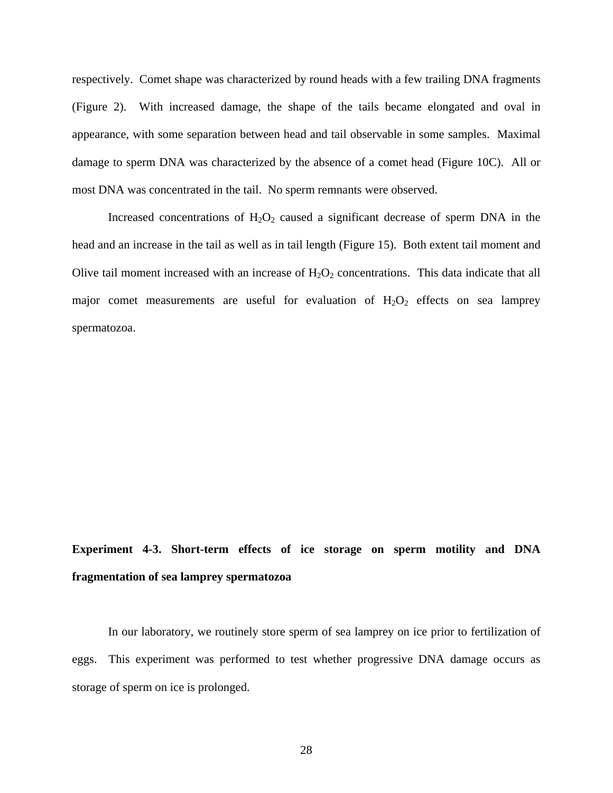respectively. Comet shape was characterized by round heads with a few trailing DNA fragments (Figure 2). With increased damage, the shape of the tails became elongated and oval in appearance, with some separation between head and tail observable in some samples. Maximal damage to sperm DNA was characterized by the absence of a comet head (Figure 10C). All or most DNA was concentrated in the tail. No sperm remnants were observed.

Increased concentrations of  $H_2O_2$  caused a significant decrease of sperm DNA in the head and an increase in the tail as well as in tail length (Figure 15). Both extent tail moment and Olive tail moment increased with an increase of  $H_2O_2$  concentrations. This data indicate that all major comet measurements are useful for evaluation of  $H_2O_2$  effects on sea lamprey spermatozoa.

# **Experiment 4-3. Short-term effects of ice storage on sperm motility and DNA fragmentation of sea lamprey spermatozoa**

In our laboratory, we routinely store sperm of sea lamprey on ice prior to fertilization of eggs. This experiment was performed to test whether progressive DNA damage occurs as storage of sperm on ice is prolonged.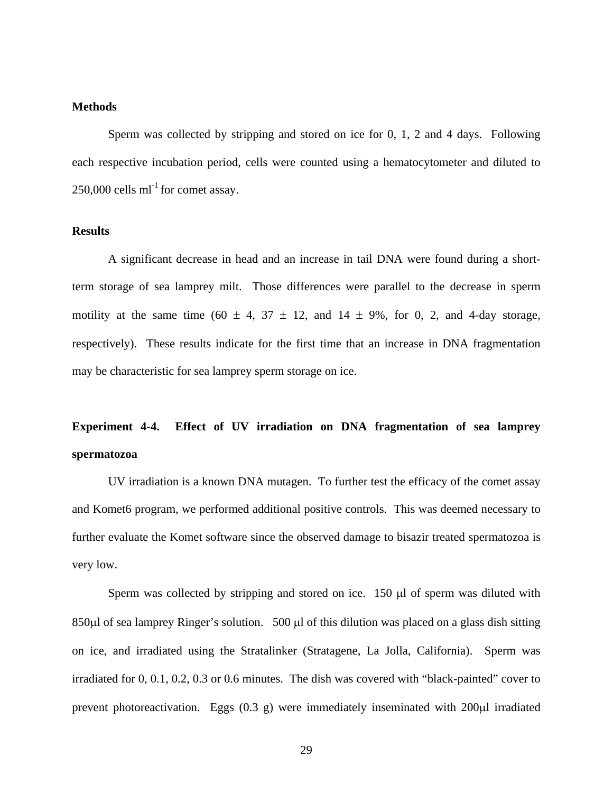## **Methods**

Sperm was collected by stripping and stored on ice for 0, 1, 2 and 4 days. Following each respective incubation period, cells were counted using a hematocytometer and diluted to  $250,000$  cells ml<sup>-1</sup> for comet assay.

## **Results**

A significant decrease in head and an increase in tail DNA were found during a shortterm storage of sea lamprey milt. Those differences were parallel to the decrease in sperm motility at the same time (60  $\pm$  4, 37  $\pm$  12, and 14  $\pm$  9%, for 0, 2, and 4-day storage, respectively). These results indicate for the first time that an increase in DNA fragmentation may be characteristic for sea lamprey sperm storage on ice.

# **Experiment 4-4. Effect of UV irradiation on DNA fragmentation of sea lamprey spermatozoa**

UV irradiation is a known DNA mutagen. To further test the efficacy of the comet assay and Komet6 program, we performed additional positive controls. This was deemed necessary to further evaluate the Komet software since the observed damage to bisazir treated spermatozoa is very low.

Sperm was collected by stripping and stored on ice. 150 µl of sperm was diluted with 850µl of sea lamprey Ringer's solution. 500 µl of this dilution was placed on a glass dish sitting on ice, and irradiated using the Stratalinker (Stratagene, La Jolla, California). Sperm was irradiated for 0, 0.1, 0.2, 0.3 or 0.6 minutes. The dish was covered with "black-painted" cover to prevent photoreactivation. Eggs (0.3 g) were immediately inseminated with 200µl irradiated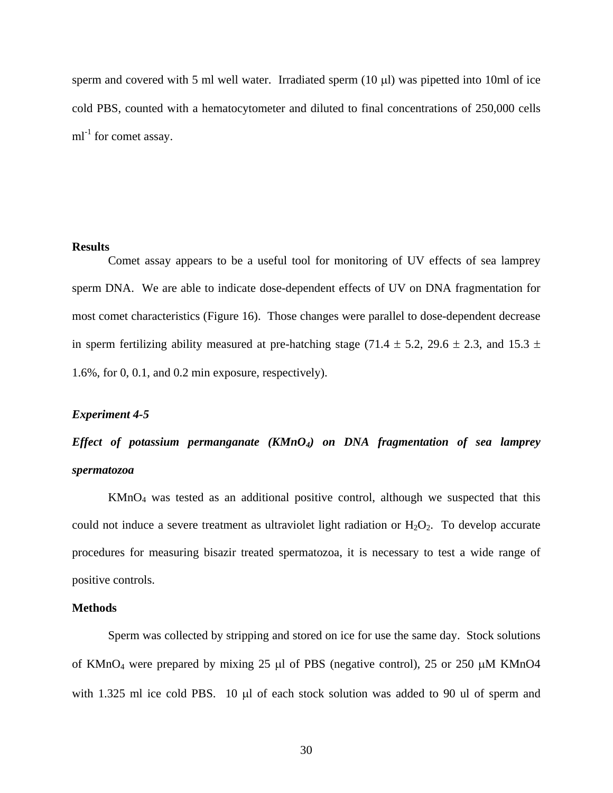sperm and covered with 5 ml well water. Irradiated sperm  $(10 \mu l)$  was pipetted into 10ml of ice cold PBS, counted with a hematocytometer and diluted to final concentrations of 250,000 cells  $ml^{-1}$  for comet assay.

#### **Results**

Comet assay appears to be a useful tool for monitoring of UV effects of sea lamprey sperm DNA. We are able to indicate dose-dependent effects of UV on DNA fragmentation for most comet characteristics (Figure 16). Those changes were parallel to dose-dependent decrease in sperm fertilizing ability measured at pre-hatching stage (71.4  $\pm$  5.2, 29.6  $\pm$  2.3, and 15.3  $\pm$ 1.6%, for 0, 0.1, and 0.2 min exposure, respectively).

#### *Experiment 4-5*

# *Effect of potassium permanganate (KMnO4) on DNA fragmentation of sea lamprey spermatozoa*

KMnO4 was tested as an additional positive control, although we suspected that this could not induce a severe treatment as ultraviolet light radiation or  $H_2O_2$ . To develop accurate procedures for measuring bisazir treated spermatozoa, it is necessary to test a wide range of positive controls.

#### **Methods**

Sperm was collected by stripping and stored on ice for use the same day. Stock solutions of KMnO<sub>4</sub> were prepared by mixing 25 µl of PBS (negative control), 25 or 250  $\mu$ M KMnO4 with 1.325 ml ice cold PBS. 10 µl of each stock solution was added to 90 ul of sperm and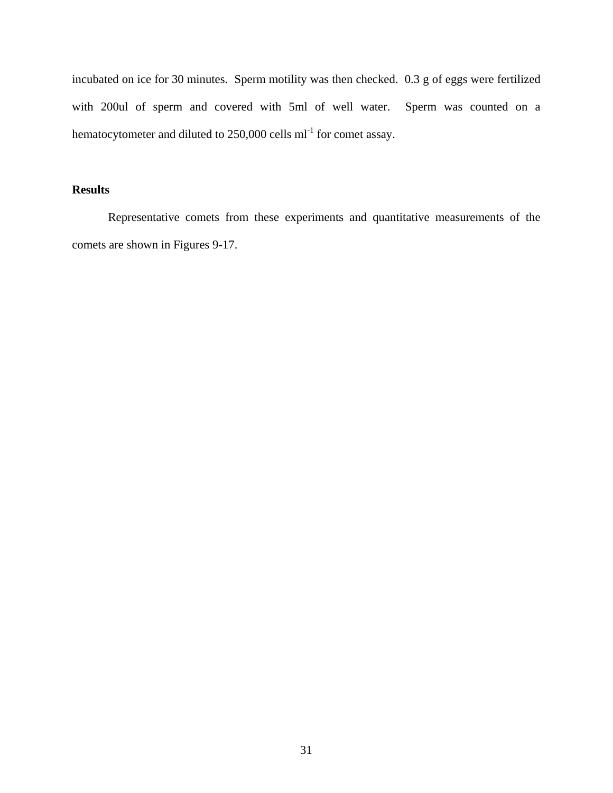incubated on ice for 30 minutes. Sperm motility was then checked. 0.3 g of eggs were fertilized with 200ul of sperm and covered with 5ml of well water. Sperm was counted on a hematocytometer and diluted to  $250,000$  cells ml<sup>-1</sup> for comet assay.

## **Results**

Representative comets from these experiments and quantitative measurements of the comets are shown in Figures 9-17.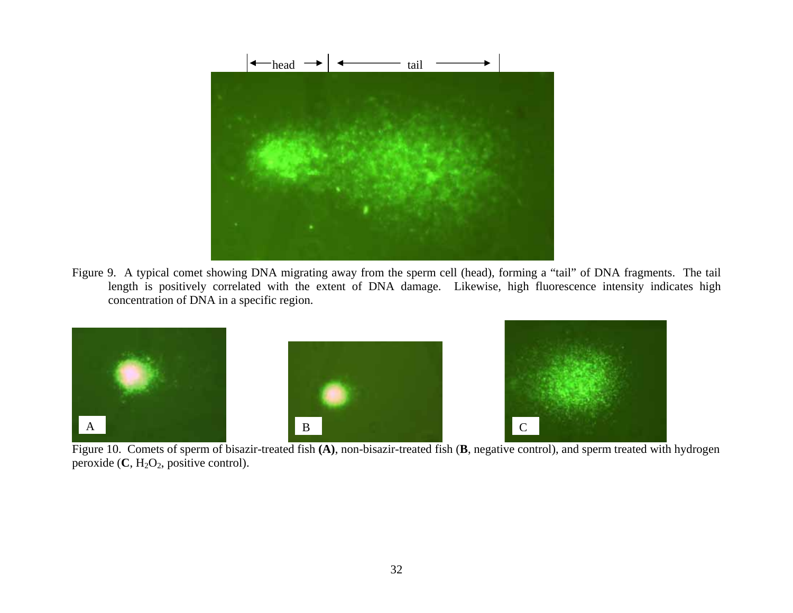

Figure 9. A typical comet showing DNA migrating away from the sperm cell (head), forming a "tail" of DNA fragments. The tail length is positively correlated with the extent of DNA damage. Likewise, high fluorescence intensity indicates high concentration of DNA in a specific region.



Figure 10. Comets of sperm of bisazir-treated fish **(A)**, non-bisazir-treated fish (**B**, negative control), and sperm treated with hydrogen peroxide  $(C, H<sub>2</sub>O<sub>2</sub>$ , positive control).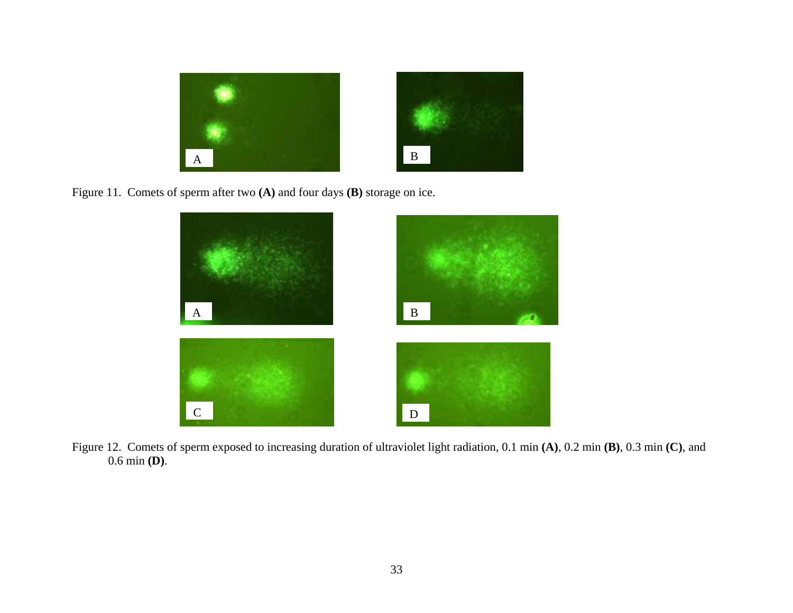

Figure 11. Comets of sperm after two **(A)** and four days **(B)** storage on ice.



Figure 12. Comets of sperm exposed to increasing duration of ultraviolet light radiation, 0.1 min **(A)**, 0.2 min **(B)**, 0.3 min **(C)**, and 0.6 min **(D)**.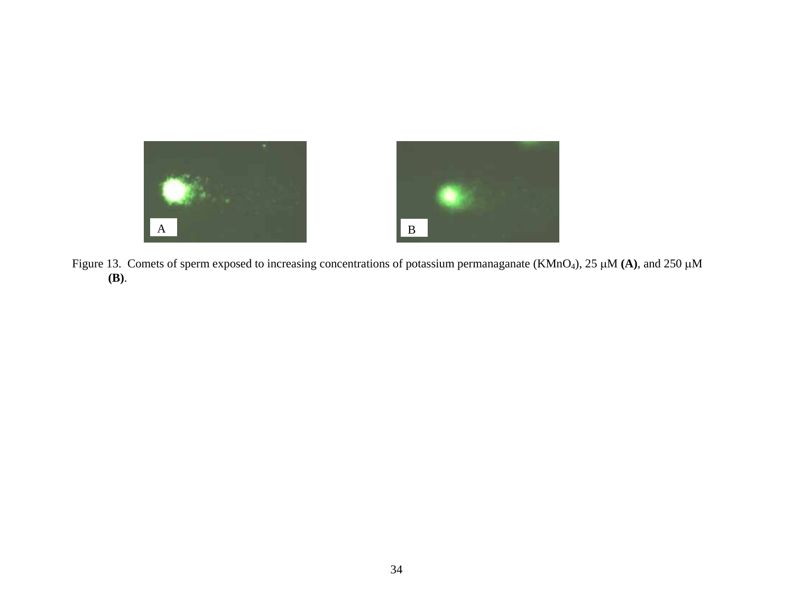

Figure 13. Comets of sperm exposed to increasing concentrations of potassium permanaganate (KMnO4), 25 µM **(A)**, and 250 µM **(B)**.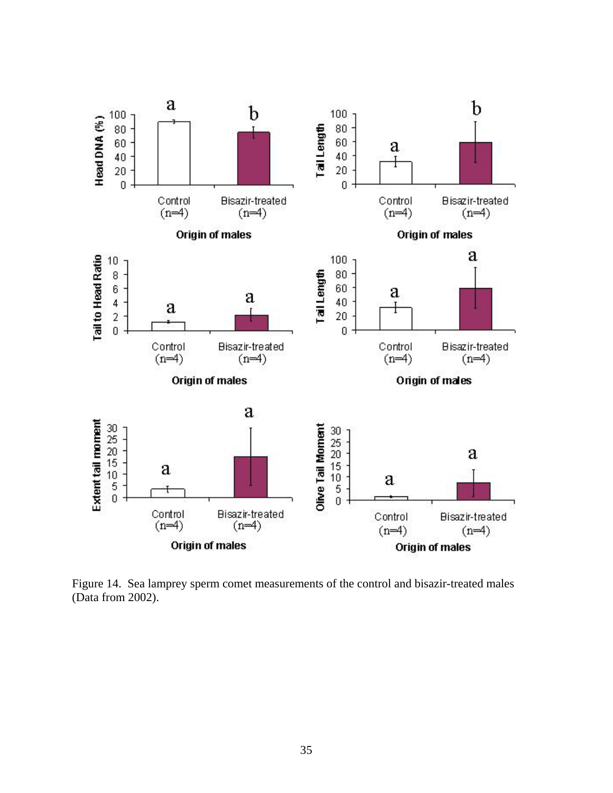

Figure 14. Sea lamprey sperm comet measurements of the control and bisazir-treated males (Data from 2002).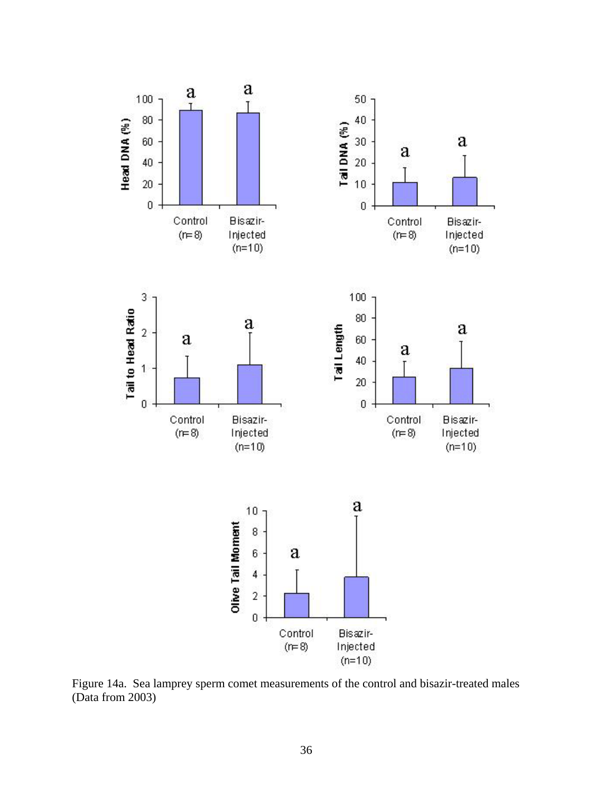

Figure 14a. Sea lamprey sperm comet measurements of the control and bisazir-treated males (Data from 2003)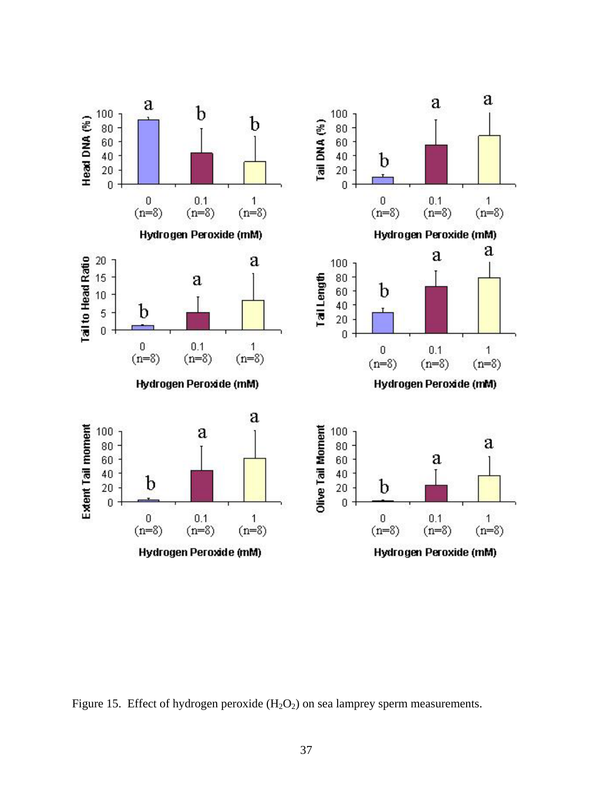

Figure 15. Effect of hydrogen peroxide  $(H_2O_2)$  on sea lamprey sperm measurements.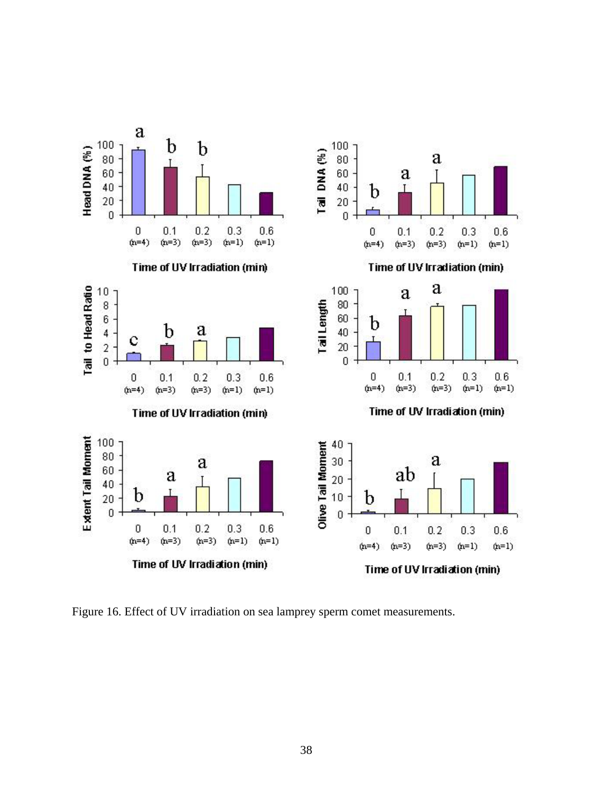

Figure 16. Effect of UV irradiation on sea lamprey sperm comet measurements.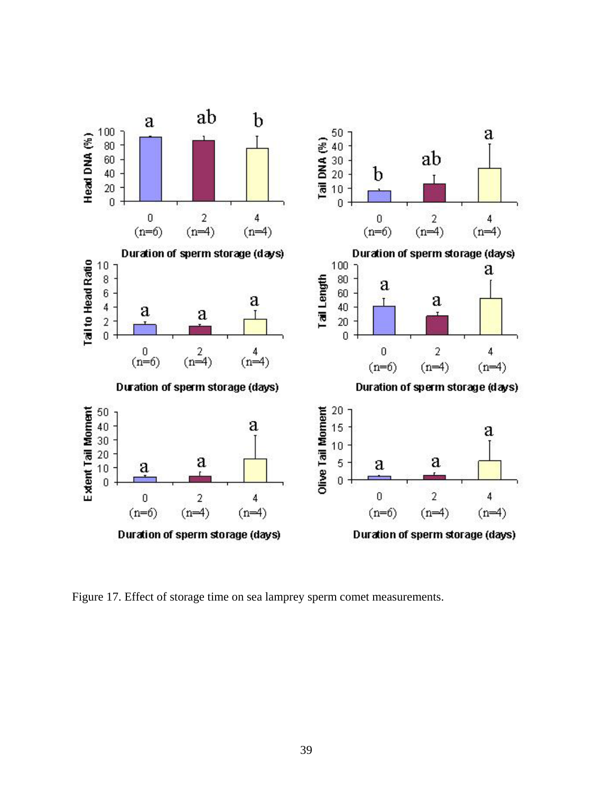

Figure 17. Effect of storage time on sea lamprey sperm comet measurements.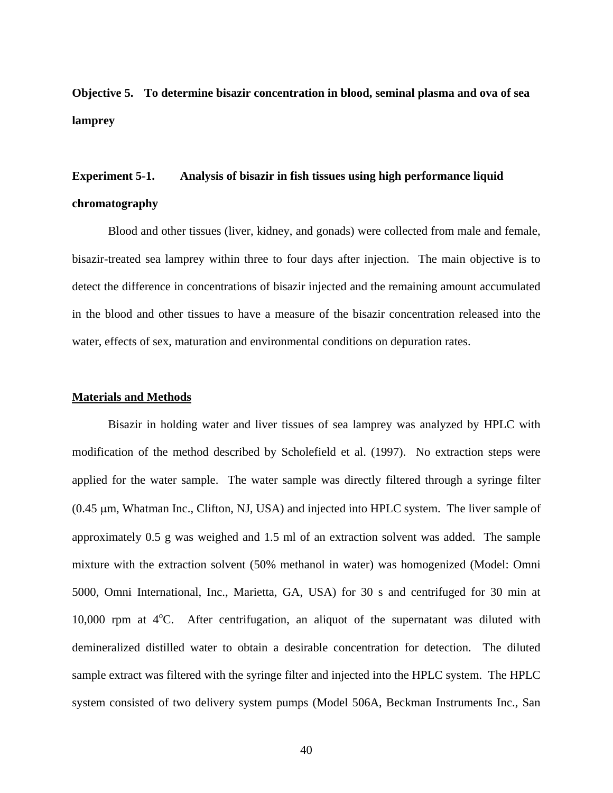**Objective 5. To determine bisazir concentration in blood, seminal plasma and ova of sea lamprey** 

## **Experiment 5-1. Analysis of bisazir in fish tissues using high performance liquid chromatography**

Blood and other tissues (liver, kidney, and gonads) were collected from male and female, bisazir-treated sea lamprey within three to four days after injection. The main objective is to detect the difference in concentrations of bisazir injected and the remaining amount accumulated in the blood and other tissues to have a measure of the bisazir concentration released into the water, effects of sex, maturation and environmental conditions on depuration rates.

#### **Materials and Methods**

Bisazir in holding water and liver tissues of sea lamprey was analyzed by HPLC with modification of the method described by Scholefield et al. (1997). No extraction steps were applied for the water sample. The water sample was directly filtered through a syringe filter (0.45 µm, Whatman Inc., Clifton, NJ, USA) and injected into HPLC system. The liver sample of approximately 0.5 g was weighed and 1.5 ml of an extraction solvent was added. The sample mixture with the extraction solvent (50% methanol in water) was homogenized (Model: Omni 5000, Omni International, Inc., Marietta, GA, USA) for 30 s and centrifuged for 30 min at 10,000 rpm at  $4^{\circ}$ C. After centrifugation, an aliquot of the supernatant was diluted with demineralized distilled water to obtain a desirable concentration for detection. The diluted sample extract was filtered with the syringe filter and injected into the HPLC system. The HPLC system consisted of two delivery system pumps (Model 506A, Beckman Instruments Inc., San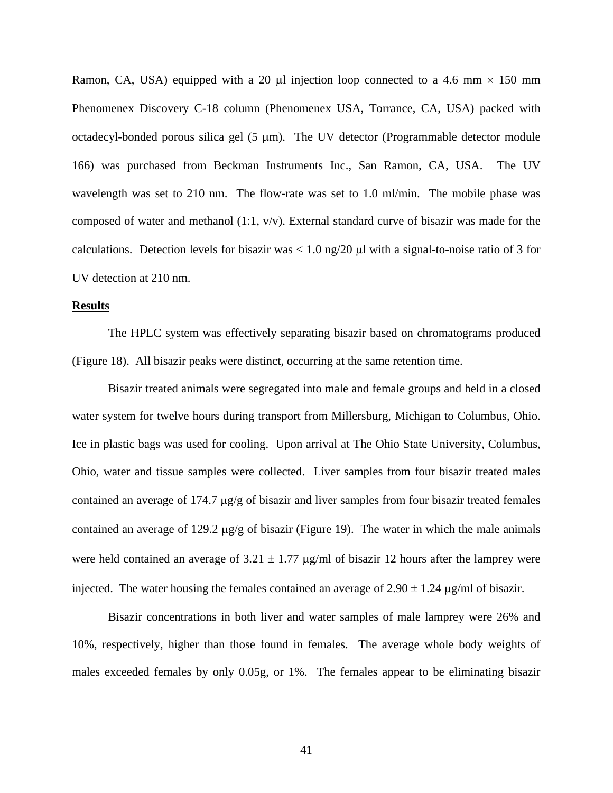Ramon, CA, USA) equipped with a 20  $\mu$ l injection loop connected to a 4.6 mm  $\times$  150 mm Phenomenex Discovery C-18 column (Phenomenex USA, Torrance, CA, USA) packed with octadecyl-bonded porous silica gel (5 µm). The UV detector (Programmable detector module 166) was purchased from Beckman Instruments Inc., San Ramon, CA, USA. The UV wavelength was set to 210 nm. The flow-rate was set to 1.0 ml/min. The mobile phase was composed of water and methanol (1:1, v/v). External standard curve of bisazir was made for the calculations. Detection levels for bisazir was  $< 1.0$  ng/20  $\mu$ l with a signal-to-noise ratio of 3 for UV detection at 210 nm.

### **Results**

The HPLC system was effectively separating bisazir based on chromatograms produced (Figure 18). All bisazir peaks were distinct, occurring at the same retention time.

Bisazir treated animals were segregated into male and female groups and held in a closed water system for twelve hours during transport from Millersburg, Michigan to Columbus, Ohio. Ice in plastic bags was used for cooling. Upon arrival at The Ohio State University, Columbus, Ohio, water and tissue samples were collected. Liver samples from four bisazir treated males contained an average of 174.7 µg/g of bisazir and liver samples from four bisazir treated females contained an average of 129.2 µg/g of bisazir (Figure 19). The water in which the male animals were held contained an average of  $3.21 \pm 1.77$  µg/ml of bisazir 12 hours after the lamprey were injected. The water housing the females contained an average of  $2.90 \pm 1.24$  µg/ml of bisazir.

Bisazir concentrations in both liver and water samples of male lamprey were 26% and 10%, respectively, higher than those found in females. The average whole body weights of males exceeded females by only 0.05g, or 1%. The females appear to be eliminating bisazir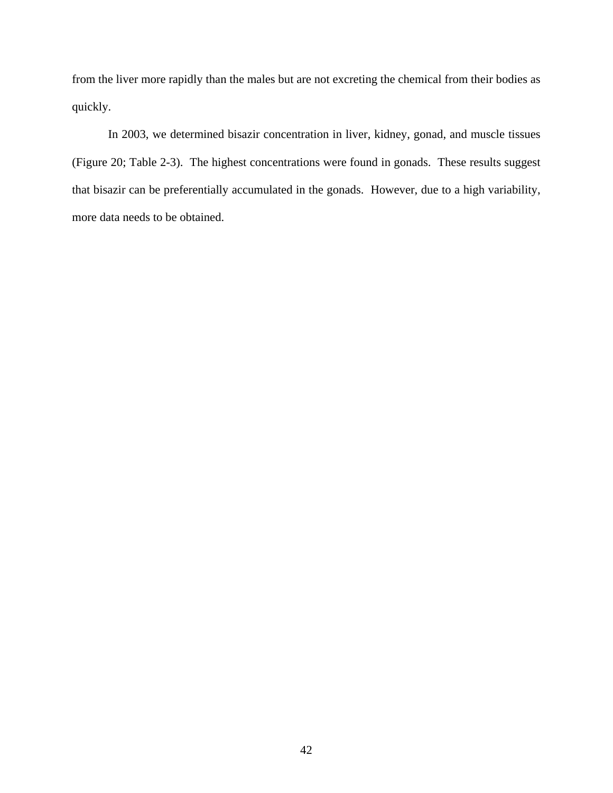from the liver more rapidly than the males but are not excreting the chemical from their bodies as quickly.

In 2003, we determined bisazir concentration in liver, kidney, gonad, and muscle tissues (Figure 20; Table 2-3). The highest concentrations were found in gonads. These results suggest that bisazir can be preferentially accumulated in the gonads. However, due to a high variability, more data needs to be obtained.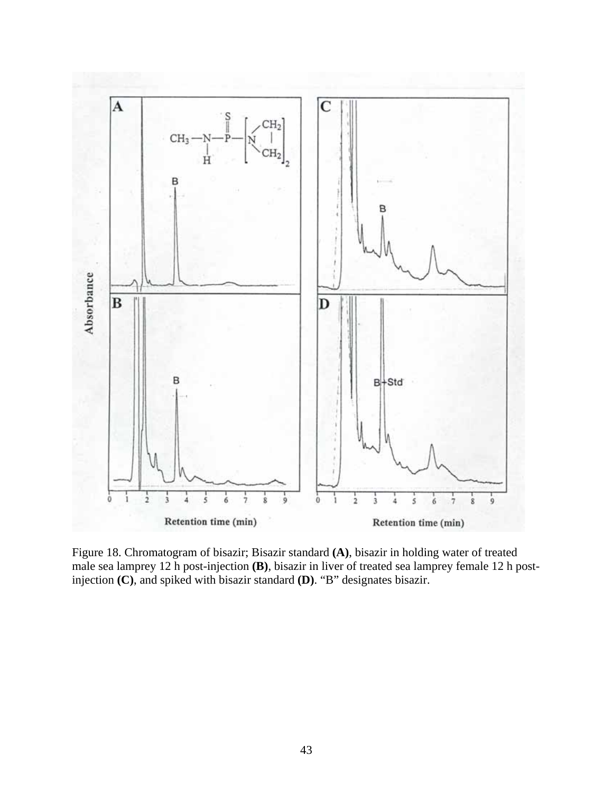

Figure 18. Chromatogram of bisazir; Bisazir standard **(A)**, bisazir in holding water of treated male sea lamprey 12 h post-injection **(B)**, bisazir in liver of treated sea lamprey female 12 h postinjection **(C)**, and spiked with bisazir standard **(D)**. "B" designates bisazir.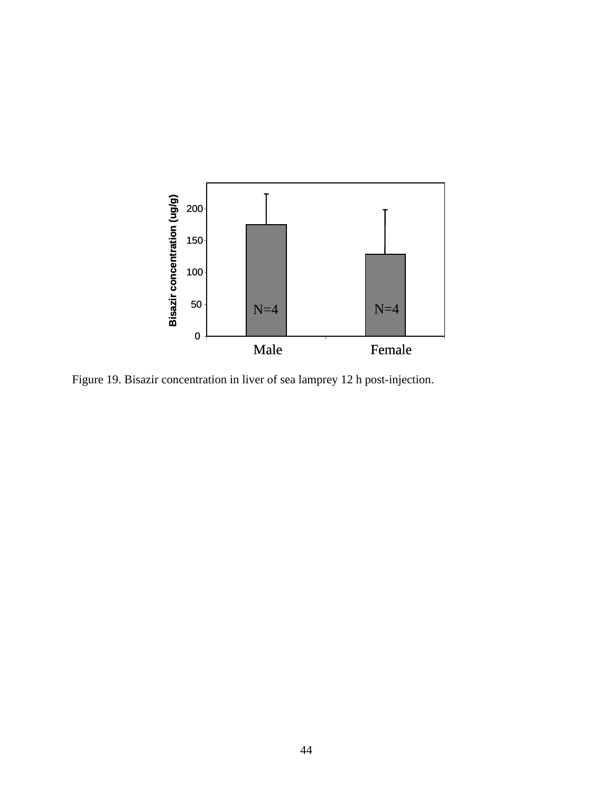

Figure 19. Bisazir concentration in liver of sea lamprey 12 h post-injection.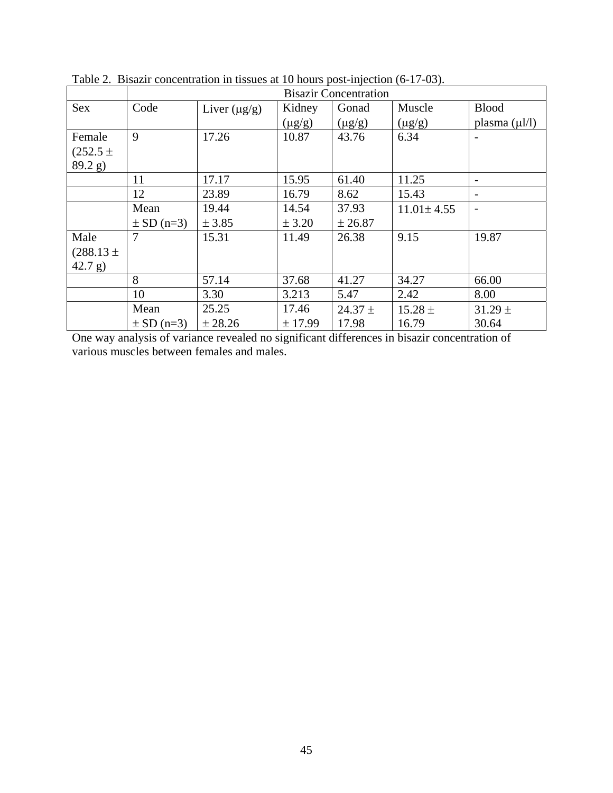|               | <b>Bisazir Concentration</b> |                   |             |             |                  |                    |
|---------------|------------------------------|-------------------|-------------|-------------|------------------|--------------------|
| <b>Sex</b>    | Code                         | Liver $(\mu g/g)$ | Kidney      | Gonad       | Muscle           | <b>Blood</b>       |
|               |                              |                   | $(\mu g/g)$ | $(\mu g/g)$ | $(\mu g/g)$      | plasma $(\mu l/l)$ |
| Female        | 9                            | 17.26             | 10.87       | 43.76       | 6.34             |                    |
| $(252.5 \pm$  |                              |                   |             |             |                  |                    |
| 89.2 g)       |                              |                   |             |             |                  |                    |
|               | 11                           | 17.17             | 15.95       | 61.40       | 11.25            |                    |
|               | 12                           | 23.89             | 16.79       | 8.62        | 15.43            |                    |
|               | Mean                         | 19.44             | 14.54       | 37.93       | $11.01 \pm 4.55$ |                    |
|               | $\pm$ SD (n=3)               | ± 3.85            | ± 3.20      | ± 26.87     |                  |                    |
| Male          | 7                            | 15.31             | 11.49       | 26.38       | 9.15             | 19.87              |
| $(288.13 \pm$ |                              |                   |             |             |                  |                    |
| 42.7 g)       |                              |                   |             |             |                  |                    |
|               | 8                            | 57.14             | 37.68       | 41.27       | 34.27            | 66.00              |
|               | 10                           | 3.30              | 3.213       | 5.47        | 2.42             | 8.00               |
|               | Mean                         | 25.25             | 17.46       | $24.37 \pm$ | $15.28 \pm$      | $31.29 \pm$        |
|               | $\pm$ SD (n=3)               | ± 28.26           | ± 17.99     | 17.98       | 16.79            | 30.64              |

Table 2. Bisazir concentration in tissues at 10 hours post-injection (6-17-03).

One way analysis of variance revealed no significant differences in bisazir concentration of various muscles between females and males.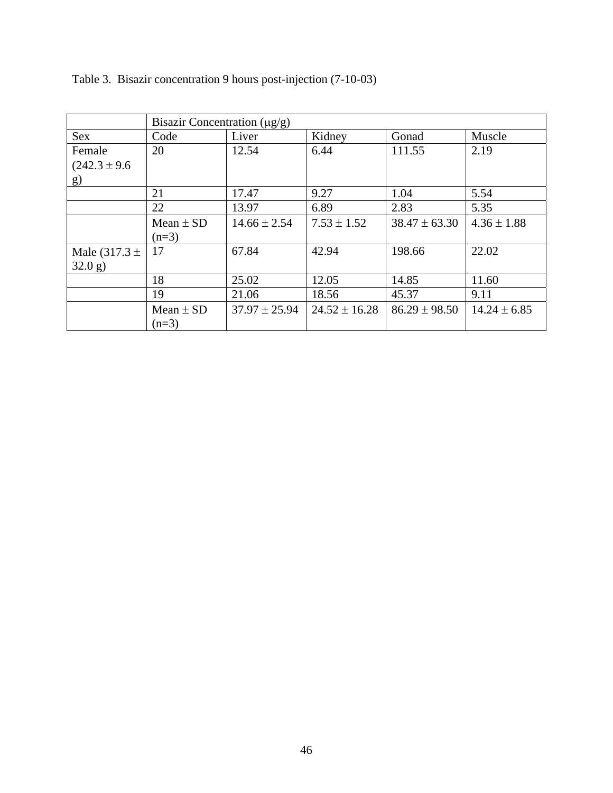|                   | Bisazir Concentration $(\mu g/g)$ |                   |                   |                   |                  |
|-------------------|-----------------------------------|-------------------|-------------------|-------------------|------------------|
| <b>Sex</b>        | Code                              | Liver             | Kidney            | Gonad             | Muscle           |
| Female            | 20                                | 12.54             | 6.44              | 111.55            | 2.19             |
| $(242.3 \pm 9.6)$ |                                   |                   |                   |                   |                  |
| g)                |                                   |                   |                   |                   |                  |
|                   | 21                                | 17.47             | 9.27              | 1.04              | 5.54             |
|                   | 22                                | 13.97             | 6.89              | 2.83              | 5.35             |
|                   | Mean $\pm$ SD                     | $14.66 \pm 2.54$  | $7.53 \pm 1.52$   | $38.47 \pm 63.30$ | $4.36 \pm 1.88$  |
|                   | $(n=3)$                           |                   |                   |                   |                  |
| Male $(317.3 \pm$ | 17                                | 67.84             | 42.94             | 198.66            | 22.02            |
| 32.0 g)           |                                   |                   |                   |                   |                  |
|                   | 18                                | 25.02             | 12.05             | 14.85             | 11.60            |
|                   | 19                                | 21.06             | 18.56             | 45.37             | 9.11             |
|                   | Mean $\pm$ SD                     | $37.97 \pm 25.94$ | $24.52 \pm 16.28$ | $86.29 \pm 98.50$ | $14.24 \pm 6.85$ |
|                   | $(n=3)$                           |                   |                   |                   |                  |

Table 3. Bisazir concentration 9 hours post-injection (7-10-03)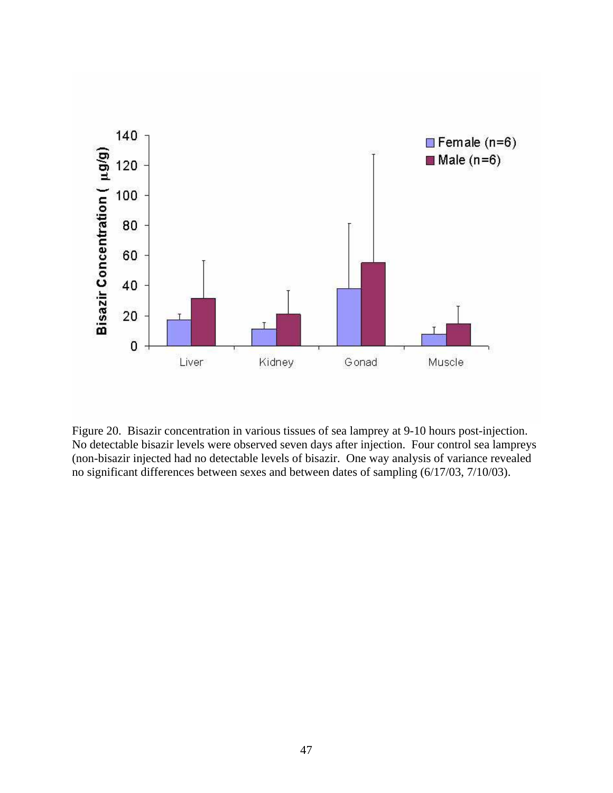

Figure 20. Bisazir concentration in various tissues of sea lamprey at 9-10 hours post-injection. No detectable bisazir levels were observed seven days after injection. Four control sea lampreys (non-bisazir injected had no detectable levels of bisazir. One way analysis of variance revealed no significant differences between sexes and between dates of sampling (6/17/03, 7/10/03).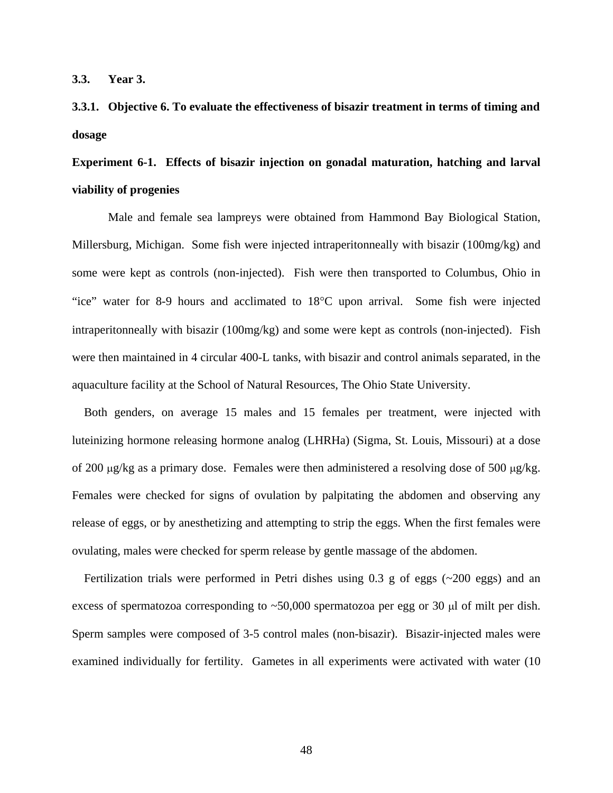**3.3. Year 3.** 

## **3.3.1. Objective 6. To evaluate the effectiveness of bisazir treatment in terms of timing and dosage**

# **Experiment 6-1. Effects of bisazir injection on gonadal maturation, hatching and larval viability of progenies**

Male and female sea lampreys were obtained from Hammond Bay Biological Station, Millersburg, Michigan. Some fish were injected intraperitonneally with bisazir (100mg/kg) and some were kept as controls (non-injected). Fish were then transported to Columbus, Ohio in "ice" water for 8-9 hours and acclimated to 18°C upon arrival. Some fish were injected intraperitonneally with bisazir (100mg/kg) and some were kept as controls (non-injected). Fish were then maintained in 4 circular 400-L tanks, with bisazir and control animals separated, in the aquaculture facility at the School of Natural Resources, The Ohio State University.

 Both genders, on average 15 males and 15 females per treatment, were injected with luteinizing hormone releasing hormone analog (LHRHa) (Sigma, St. Louis, Missouri) at a dose of 200 µg/kg as a primary dose. Females were then administered a resolving dose of 500 µg/kg. Females were checked for signs of ovulation by palpitating the abdomen and observing any release of eggs, or by anesthetizing and attempting to strip the eggs. When the first females were ovulating, males were checked for sperm release by gentle massage of the abdomen.

Fertilization trials were performed in Petri dishes using  $0.3$  g of eggs ( $\sim$ 200 eggs) and an excess of spermatozoa corresponding to  $\sim$  50,000 spermatozoa per egg or 30  $\mu$ l of milt per dish. Sperm samples were composed of 3-5 control males (non-bisazir). Bisazir-injected males were examined individually for fertility. Gametes in all experiments were activated with water (10

48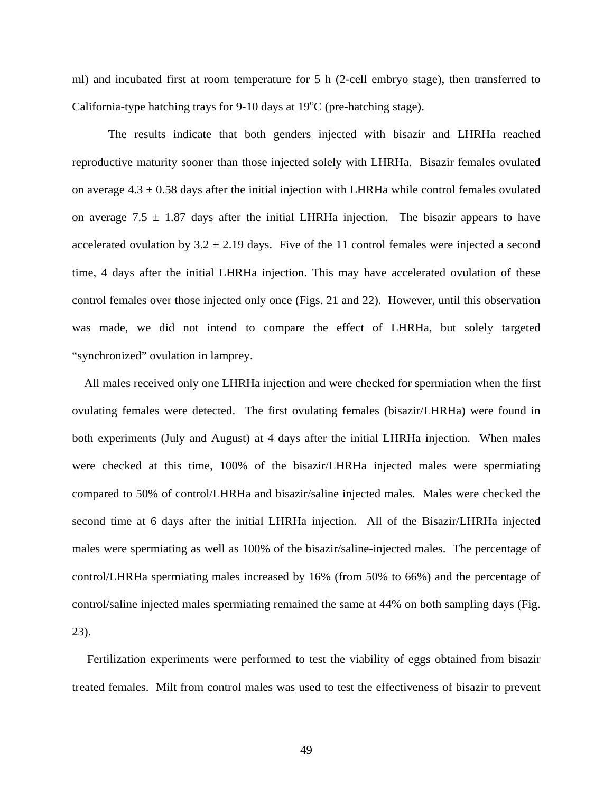ml) and incubated first at room temperature for 5 h (2-cell embryo stage), then transferred to California-type hatching trays for 9-10 days at  $19^{\circ}$ C (pre-hatching stage).

The results indicate that both genders injected with bisazir and LHRHa reached reproductive maturity sooner than those injected solely with LHRHa. Bisazir females ovulated on average  $4.3 \pm 0.58$  days after the initial injection with LHRHa while control females ovulated on average 7.5  $\pm$  1.87 days after the initial LHRHa injection. The bisazir appears to have accelerated ovulation by  $3.2 \pm 2.19$  days. Five of the 11 control females were injected a second time, 4 days after the initial LHRHa injection. This may have accelerated ovulation of these control females over those injected only once (Figs. 21 and 22). However, until this observation was made, we did not intend to compare the effect of LHRHa, but solely targeted "synchronized" ovulation in lamprey.

 All males received only one LHRHa injection and were checked for spermiation when the first ovulating females were detected. The first ovulating females (bisazir/LHRHa) were found in both experiments (July and August) at 4 days after the initial LHRHa injection. When males were checked at this time, 100% of the bisazir/LHRHa injected males were spermiating compared to 50% of control/LHRHa and bisazir/saline injected males. Males were checked the second time at 6 days after the initial LHRHa injection. All of the Bisazir/LHRHa injected males were spermiating as well as 100% of the bisazir/saline-injected males. The percentage of control/LHRHa spermiating males increased by 16% (from 50% to 66%) and the percentage of control/saline injected males spermiating remained the same at 44% on both sampling days (Fig. 23).

 Fertilization experiments were performed to test the viability of eggs obtained from bisazir treated females. Milt from control males was used to test the effectiveness of bisazir to prevent

49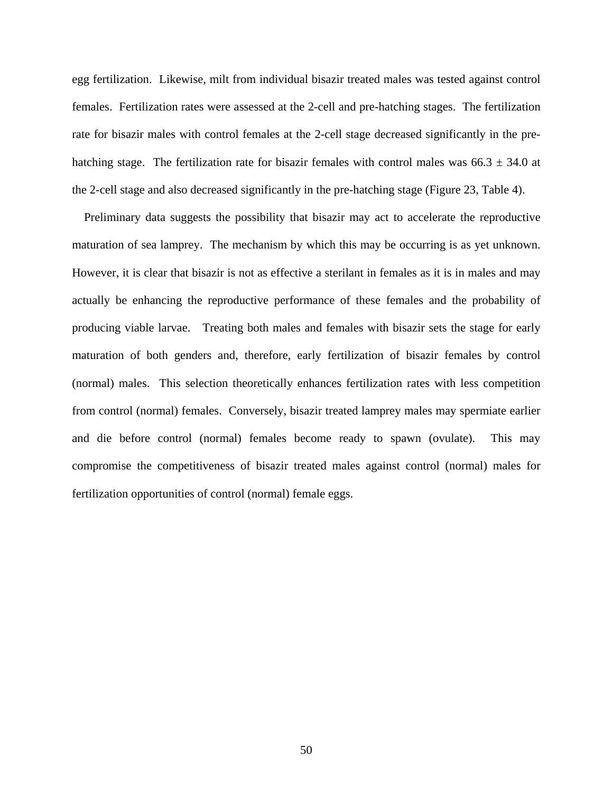egg fertilization. Likewise, milt from individual bisazir treated males was tested against control females. Fertilization rates were assessed at the 2-cell and pre-hatching stages. The fertilization rate for bisazir males with control females at the 2-cell stage decreased significantly in the prehatching stage. The fertilization rate for bisazir females with control males was  $66.3 \pm 34.0$  at the 2-cell stage and also decreased significantly in the pre-hatching stage (Figure 23, Table 4).

 Preliminary data suggests the possibility that bisazir may act to accelerate the reproductive maturation of sea lamprey. The mechanism by which this may be occurring is as yet unknown. However, it is clear that bisazir is not as effective a sterilant in females as it is in males and may actually be enhancing the reproductive performance of these females and the probability of producing viable larvae. Treating both males and females with bisazir sets the stage for early maturation of both genders and, therefore, early fertilization of bisazir females by control (normal) males. This selection theoretically enhances fertilization rates with less competition from control (normal) females. Conversely, bisazir treated lamprey males may spermiate earlier and die before control (normal) females become ready to spawn (ovulate). This may compromise the competitiveness of bisazir treated males against control (normal) males for fertilization opportunities of control (normal) female eggs.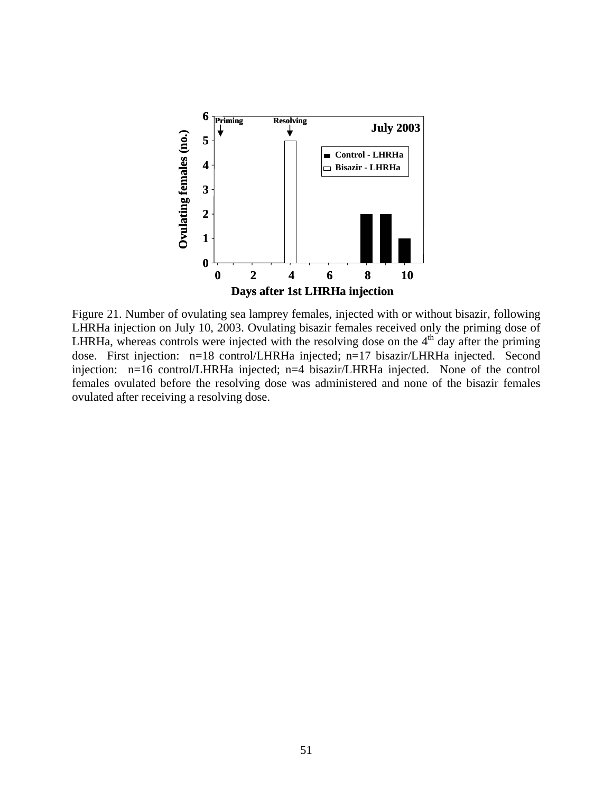

Figure 21. Number of ovulating sea lamprey females, injected with or without bisazir, following LHRHa injection on July 10, 2003. Ovulating bisazir females received only the priming dose of LHRHa, whereas controls were injected with the resolving dose on the  $4<sup>th</sup>$  day after the priming dose. First injection: n=18 control/LHRHa injected; n=17 bisazir/LHRHa injected. Second injection: n=16 control/LHRHa injected; n=4 bisazir/LHRHa injected. None of the control females ovulated before the resolving dose was administered and none of the bisazir females ovulated after receiving a resolving dose.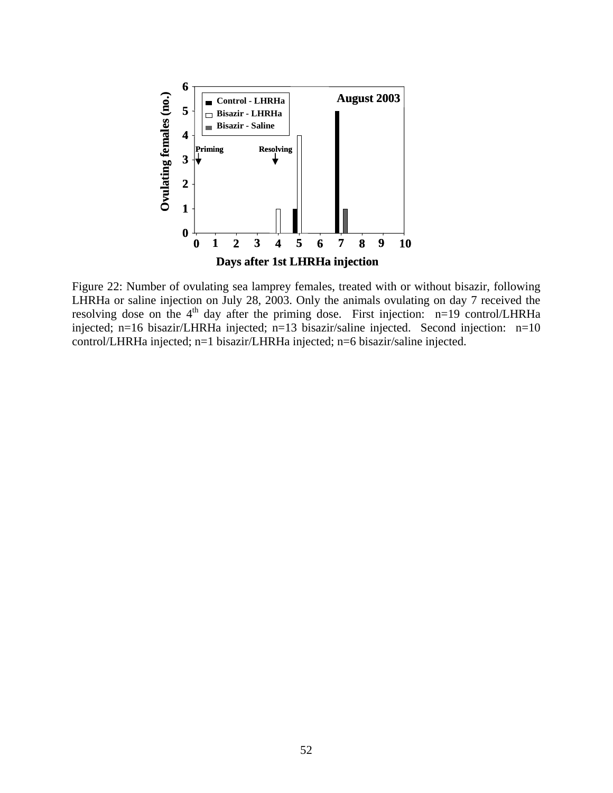

Figure 22: Number of ovulating sea lamprey females, treated with or without bisazir, following LHRHa or saline injection on July 28, 2003. Only the animals ovulating on day 7 received the resolving dose on the 4th day after the priming dose. First injection: n=19 control/LHRHa injected; n=16 bisazir/LHRHa injected; n=13 bisazir/saline injected. Second injection: n=10 control/LHRHa injected; n=1 bisazir/LHRHa injected; n=6 bisazir/saline injected.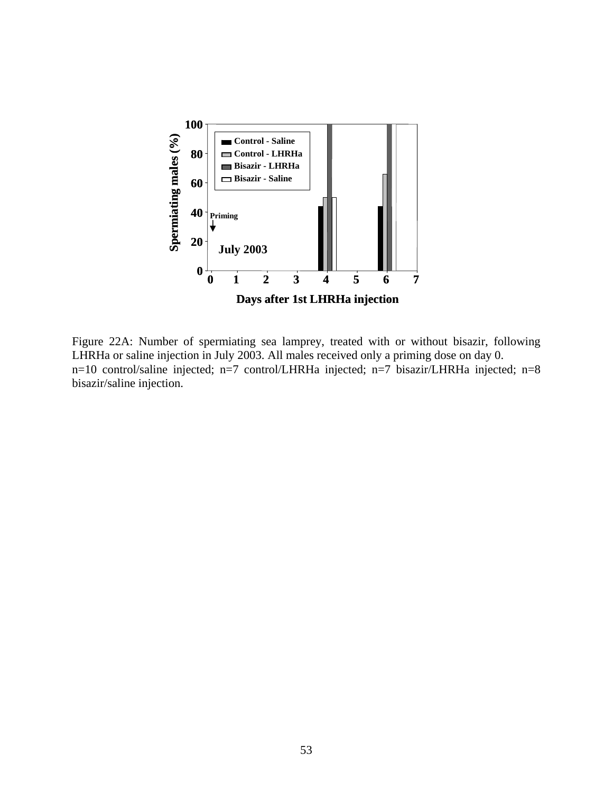

Figure 22A: Number of spermiating sea lamprey, treated with or without bisazir, following LHRHa or saline injection in July 2003. All males received only a priming dose on day 0. n=10 control/saline injected; n=7 control/LHRHa injected; n=7 bisazir/LHRHa injected; n=8 bisazir/saline injection.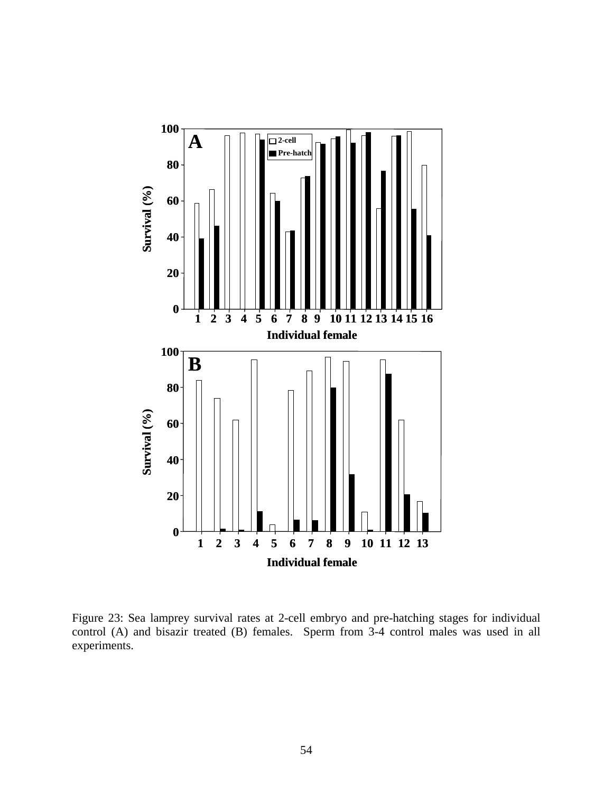

Figure 23: Sea lamprey survival rates at 2-cell embryo and pre-hatching stages for individual control (A) and bisazir treated (B) females. Sperm from 3-4 control males was used in all experiments.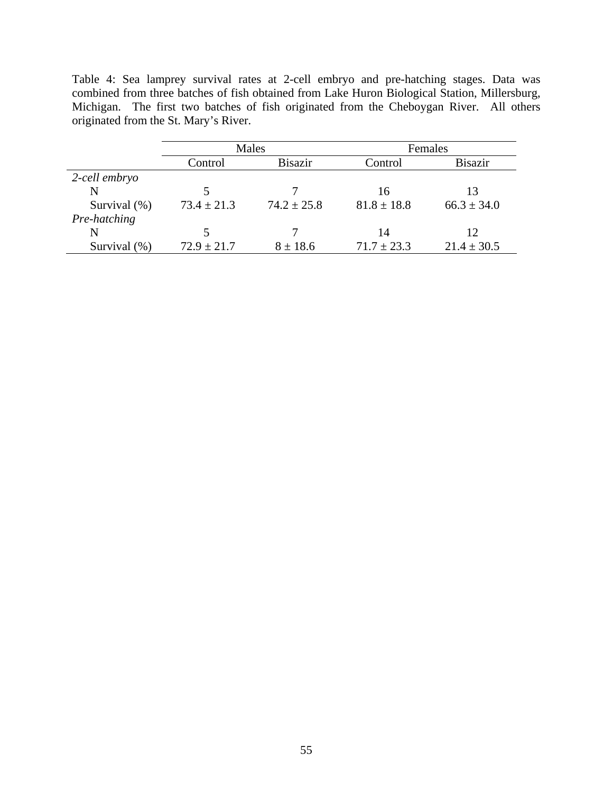Table 4: Sea lamprey survival rates at 2-cell embryo and pre-hatching stages. Data was combined from three batches of fish obtained from Lake Huron Biological Station, Millersburg, Michigan. The first two batches of fish originated from the Cheboygan River. All others originated from the St. Mary's River.

|               | Males           |                 | Females         |                 |  |
|---------------|-----------------|-----------------|-----------------|-----------------|--|
|               | Control         | <b>Bisazir</b>  | Control         | <b>Bisazir</b>  |  |
| 2-cell embryo |                 |                 |                 |                 |  |
| N             |                 |                 | 16              | 13              |  |
| Survival (%)  | $73.4 \pm 21.3$ | $74.2 \pm 25.8$ | $81.8 \pm 18.8$ | $66.3 \pm 34.0$ |  |
| Pre-hatching  |                 |                 |                 |                 |  |
| N             |                 |                 | 14              | 12              |  |
| Survival (%)  | $72.9 \pm 21.7$ | $8 \pm 18.6$    | $71.7 \pm 23.3$ | $21.4 \pm 30.5$ |  |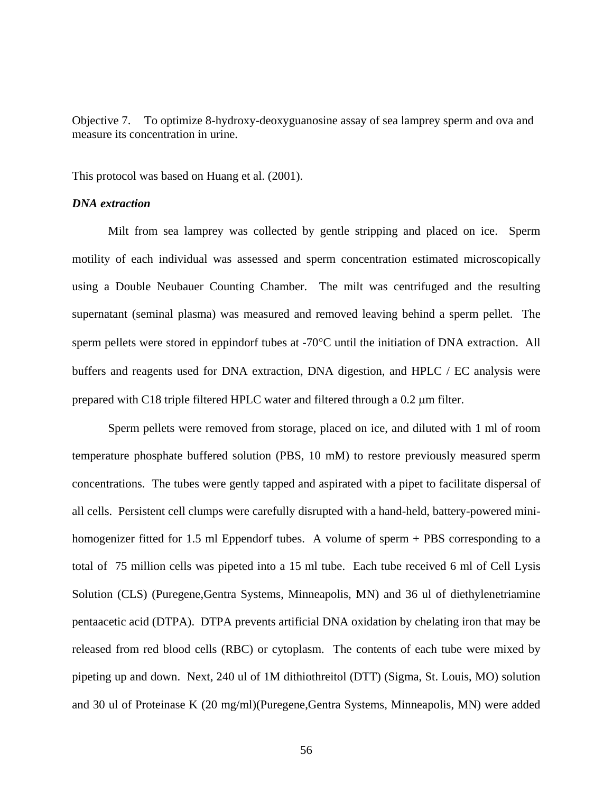Objective 7. To optimize 8-hydroxy-deoxyguanosine assay of sea lamprey sperm and ova and measure its concentration in urine.

This protocol was based on Huang et al. (2001).

#### *DNA extraction*

Milt from sea lamprey was collected by gentle stripping and placed on ice. Sperm motility of each individual was assessed and sperm concentration estimated microscopically using a Double Neubauer Counting Chamber. The milt was centrifuged and the resulting supernatant (seminal plasma) was measured and removed leaving behind a sperm pellet. The sperm pellets were stored in eppindorf tubes at -70°C until the initiation of DNA extraction. All buffers and reagents used for DNA extraction, DNA digestion, and HPLC / EC analysis were prepared with C18 triple filtered HPLC water and filtered through a 0.2 µm filter.

Sperm pellets were removed from storage, placed on ice, and diluted with 1 ml of room temperature phosphate buffered solution (PBS, 10 mM) to restore previously measured sperm concentrations. The tubes were gently tapped and aspirated with a pipet to facilitate dispersal of all cells. Persistent cell clumps were carefully disrupted with a hand-held, battery-powered minihomogenizer fitted for 1.5 ml Eppendorf tubes. A volume of sperm + PBS corresponding to a total of 75 million cells was pipeted into a 15 ml tube. Each tube received 6 ml of Cell Lysis Solution (CLS) (Puregene,Gentra Systems, Minneapolis, MN) and 36 ul of diethylenetriamine pentaacetic acid (DTPA). DTPA prevents artificial DNA oxidation by chelating iron that may be released from red blood cells (RBC) or cytoplasm. The contents of each tube were mixed by pipeting up and down. Next, 240 ul of 1M dithiothreitol (DTT) (Sigma, St. Louis, MO) solution and 30 ul of Proteinase K (20 mg/ml)(Puregene,Gentra Systems, Minneapolis, MN) were added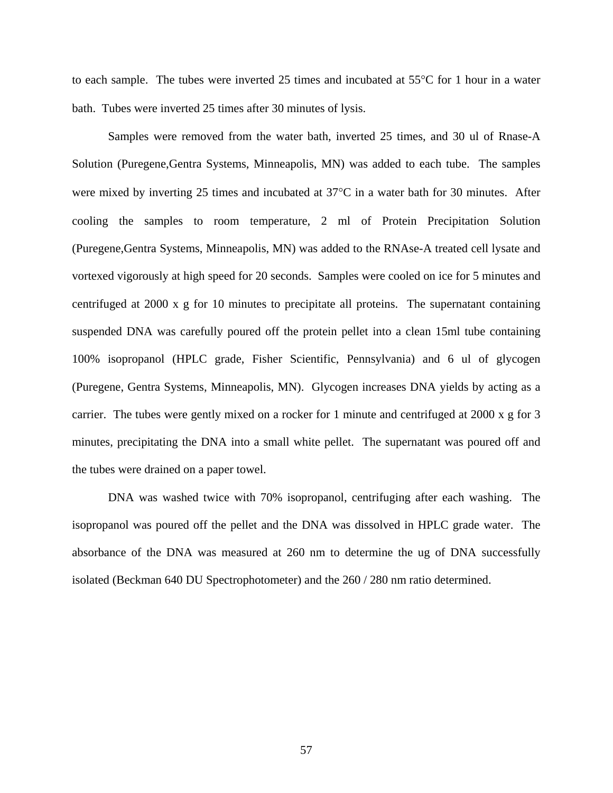to each sample. The tubes were inverted 25 times and incubated at 55°C for 1 hour in a water bath. Tubes were inverted 25 times after 30 minutes of lysis.

Samples were removed from the water bath, inverted 25 times, and 30 ul of Rnase-A Solution (Puregene,Gentra Systems, Minneapolis, MN) was added to each tube. The samples were mixed by inverting 25 times and incubated at 37°C in a water bath for 30 minutes. After cooling the samples to room temperature, 2 ml of Protein Precipitation Solution (Puregene,Gentra Systems, Minneapolis, MN) was added to the RNAse-A treated cell lysate and vortexed vigorously at high speed for 20 seconds. Samples were cooled on ice for 5 minutes and centrifuged at 2000 x g for 10 minutes to precipitate all proteins. The supernatant containing suspended DNA was carefully poured off the protein pellet into a clean 15ml tube containing 100% isopropanol (HPLC grade, Fisher Scientific, Pennsylvania) and 6 ul of glycogen (Puregene, Gentra Systems, Minneapolis, MN). Glycogen increases DNA yields by acting as a carrier. The tubes were gently mixed on a rocker for 1 minute and centrifuged at 2000 x g for 3 minutes, precipitating the DNA into a small white pellet. The supernatant was poured off and the tubes were drained on a paper towel.

DNA was washed twice with 70% isopropanol, centrifuging after each washing. The isopropanol was poured off the pellet and the DNA was dissolved in HPLC grade water. The absorbance of the DNA was measured at 260 nm to determine the ug of DNA successfully isolated (Beckman 640 DU Spectrophotometer) and the 260 / 280 nm ratio determined.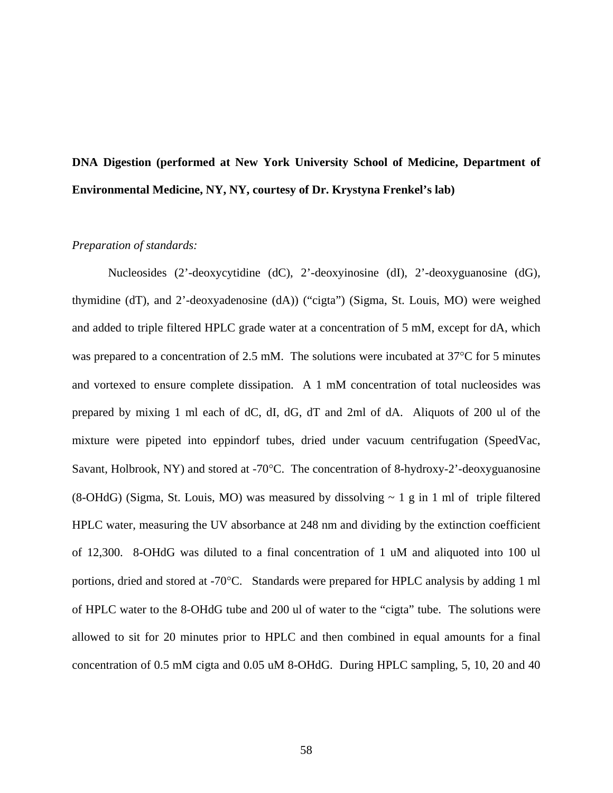# **DNA Digestion (performed at New York University School of Medicine, Department of Environmental Medicine, NY, NY, courtesy of Dr. Krystyna Frenkel's lab)**

### *Preparation of standards:*

Nucleosides (2'-deoxycytidine (dC), 2'-deoxyinosine (dI), 2'-deoxyguanosine (dG), thymidine (dT), and 2'-deoxyadenosine (dA)) ("cigta") (Sigma, St. Louis, MO) were weighed and added to triple filtered HPLC grade water at a concentration of 5 mM, except for dA, which was prepared to a concentration of 2.5 mM. The solutions were incubated at 37<sup>o</sup>C for 5 minutes and vortexed to ensure complete dissipation. A 1 mM concentration of total nucleosides was prepared by mixing 1 ml each of dC, dI, dG, dT and 2ml of dA. Aliquots of 200 ul of the mixture were pipeted into eppindorf tubes, dried under vacuum centrifugation (SpeedVac, Savant, Holbrook, NY) and stored at -70°C. The concentration of 8-hydroxy-2'-deoxyguanosine (8-OHdG) (Sigma, St. Louis, MO) was measured by dissolving  $\sim 1$  g in 1 ml of triple filtered HPLC water, measuring the UV absorbance at 248 nm and dividing by the extinction coefficient of 12,300. 8-OHdG was diluted to a final concentration of 1 uM and aliquoted into 100 ul portions, dried and stored at -70°C. Standards were prepared for HPLC analysis by adding 1 ml of HPLC water to the 8-OHdG tube and 200 ul of water to the "cigta" tube. The solutions were allowed to sit for 20 minutes prior to HPLC and then combined in equal amounts for a final concentration of 0.5 mM cigta and 0.05 uM 8-OHdG. During HPLC sampling, 5, 10, 20 and 40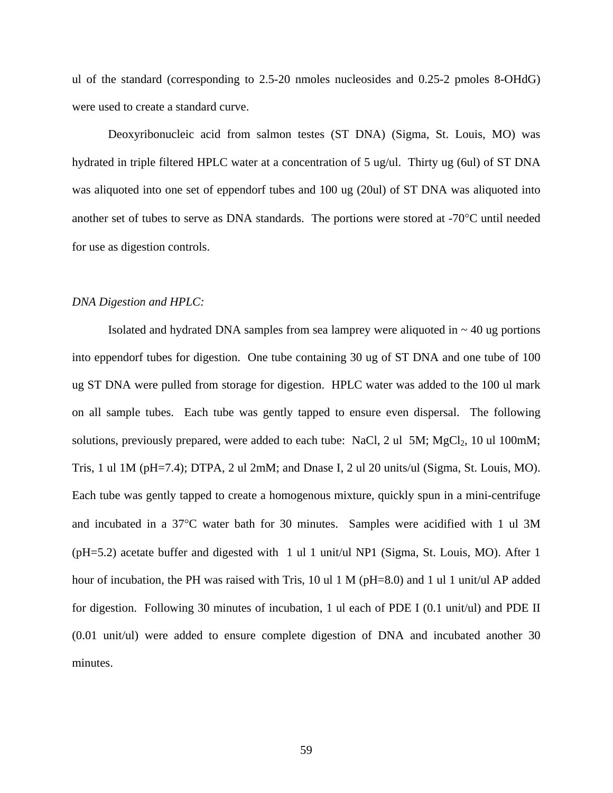ul of the standard (corresponding to 2.5-20 nmoles nucleosides and 0.25-2 pmoles 8-OHdG) were used to create a standard curve.

Deoxyribonucleic acid from salmon testes (ST DNA) (Sigma, St. Louis, MO) was hydrated in triple filtered HPLC water at a concentration of 5 ug/ul. Thirty ug (6ul) of ST DNA was aliquoted into one set of eppendorf tubes and 100 ug (20ul) of ST DNA was aliquoted into another set of tubes to serve as DNA standards. The portions were stored at -70°C until needed for use as digestion controls.

#### *DNA Digestion and HPLC:*

Isolated and hydrated DNA samples from sea lamprey were aliquoted in  $\sim$  40 ug portions into eppendorf tubes for digestion. One tube containing 30 ug of ST DNA and one tube of 100 ug ST DNA were pulled from storage for digestion. HPLC water was added to the 100 ul mark on all sample tubes. Each tube was gently tapped to ensure even dispersal. The following solutions, previously prepared, were added to each tube: NaCl, 2 ul  $5M$ ; MgCl<sub>2</sub>, 10 ul 100mM; Tris, 1 ul 1M (pH=7.4); DTPA, 2 ul 2mM; and Dnase I, 2 ul 20 units/ul (Sigma, St. Louis, MO). Each tube was gently tapped to create a homogenous mixture, quickly spun in a mini-centrifuge and incubated in a 37°C water bath for 30 minutes. Samples were acidified with 1 ul 3M  $(pH=5.2)$  acetate buffer and digested with 1 ul 1 unit/ul NP1 (Sigma, St. Louis, MO). After 1 hour of incubation, the PH was raised with Tris, 10 ul 1 M (pH=8.0) and 1 ul 1 unit/ul AP added for digestion. Following 30 minutes of incubation, 1 ul each of PDE I (0.1 unit/ul) and PDE II (0.01 unit/ul) were added to ensure complete digestion of DNA and incubated another 30 minutes.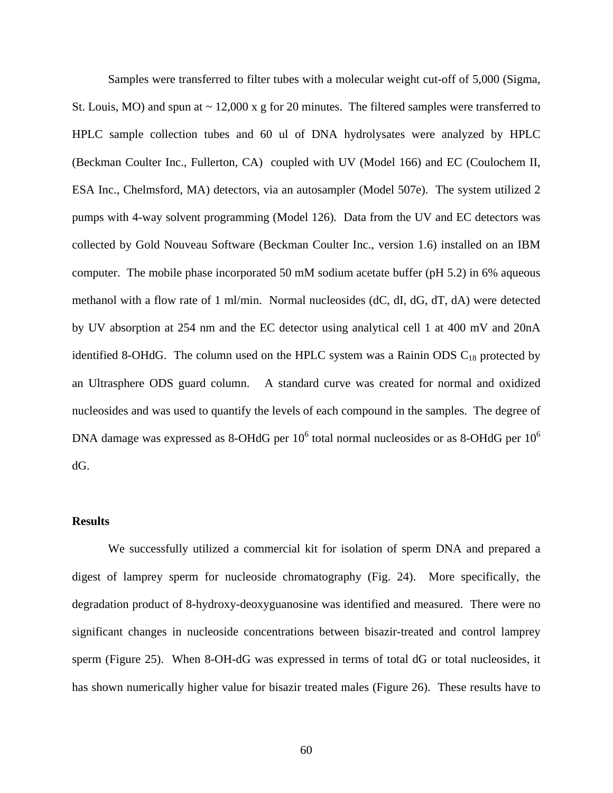Samples were transferred to filter tubes with a molecular weight cut-off of 5,000 (Sigma, St. Louis, MO) and spun at  $\sim$  12,000 x g for 20 minutes. The filtered samples were transferred to HPLC sample collection tubes and 60 ul of DNA hydrolysates were analyzed by HPLC (Beckman Coulter Inc., Fullerton, CA) coupled with UV (Model 166) and EC (Coulochem II, ESA Inc., Chelmsford, MA) detectors, via an autosampler (Model 507e). The system utilized 2 pumps with 4-way solvent programming (Model 126). Data from the UV and EC detectors was collected by Gold Nouveau Software (Beckman Coulter Inc., version 1.6) installed on an IBM computer. The mobile phase incorporated 50 mM sodium acetate buffer (pH 5.2) in 6% aqueous methanol with a flow rate of 1 ml/min. Normal nucleosides (dC, dI, dG, dT, dA) were detected by UV absorption at 254 nm and the EC detector using analytical cell 1 at 400 mV and 20nA identified 8-OHdG. The column used on the HPLC system was a Rainin ODS  $C_{18}$  protected by an Ultrasphere ODS guard column. A standard curve was created for normal and oxidized nucleosides and was used to quantify the levels of each compound in the samples. The degree of DNA damage was expressed as 8-OHdG per  $10^6$  total normal nucleosides or as 8-OHdG per  $10^6$ dG.

#### **Results**

We successfully utilized a commercial kit for isolation of sperm DNA and prepared a digest of lamprey sperm for nucleoside chromatography (Fig. 24). More specifically, the degradation product of 8-hydroxy-deoxyguanosine was identified and measured. There were no significant changes in nucleoside concentrations between bisazir-treated and control lamprey sperm (Figure 25). When 8-OH-dG was expressed in terms of total dG or total nucleosides, it has shown numerically higher value for bisazir treated males (Figure 26). These results have to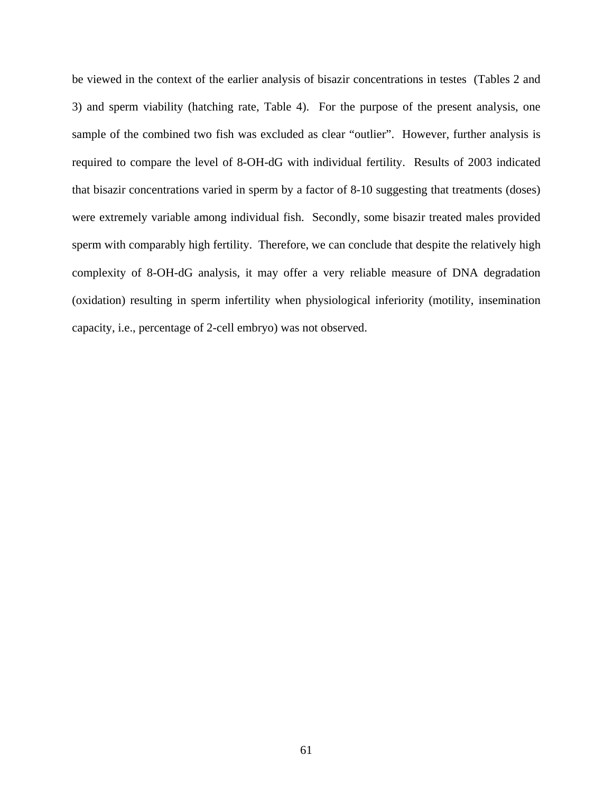be viewed in the context of the earlier analysis of bisazir concentrations in testes (Tables 2 and 3) and sperm viability (hatching rate, Table 4). For the purpose of the present analysis, one sample of the combined two fish was excluded as clear "outlier". However, further analysis is required to compare the level of 8-OH-dG with individual fertility. Results of 2003 indicated that bisazir concentrations varied in sperm by a factor of 8-10 suggesting that treatments (doses) were extremely variable among individual fish. Secondly, some bisazir treated males provided sperm with comparably high fertility. Therefore, we can conclude that despite the relatively high complexity of 8-OH-dG analysis, it may offer a very reliable measure of DNA degradation (oxidation) resulting in sperm infertility when physiological inferiority (motility, insemination capacity, i.e., percentage of 2-cell embryo) was not observed.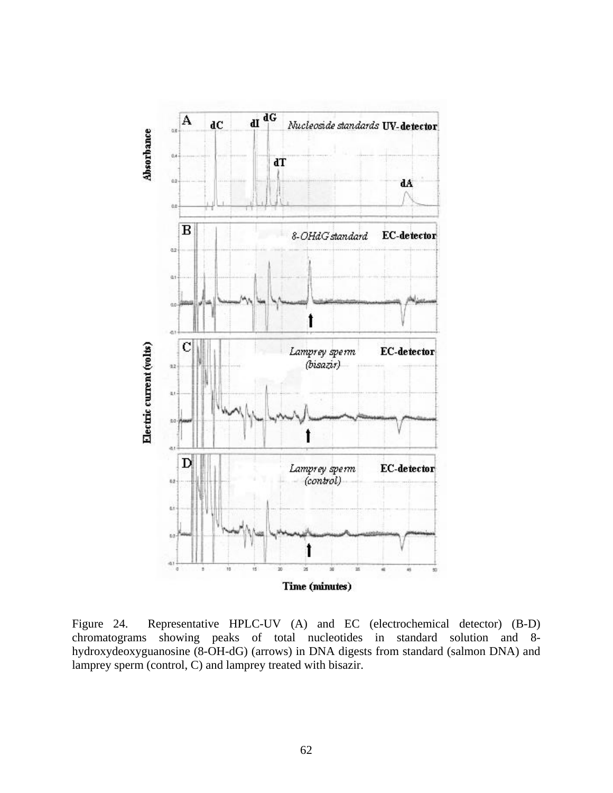

Figure 24. Representative HPLC-UV (A) and EC (electrochemical detector) (B-D) chromatograms showing peaks of total nucleotides in standard solution and 8 hydroxydeoxyguanosine (8-OH-dG) (arrows) in DNA digests from standard (salmon DNA) and lamprey sperm (control, C) and lamprey treated with bisazir.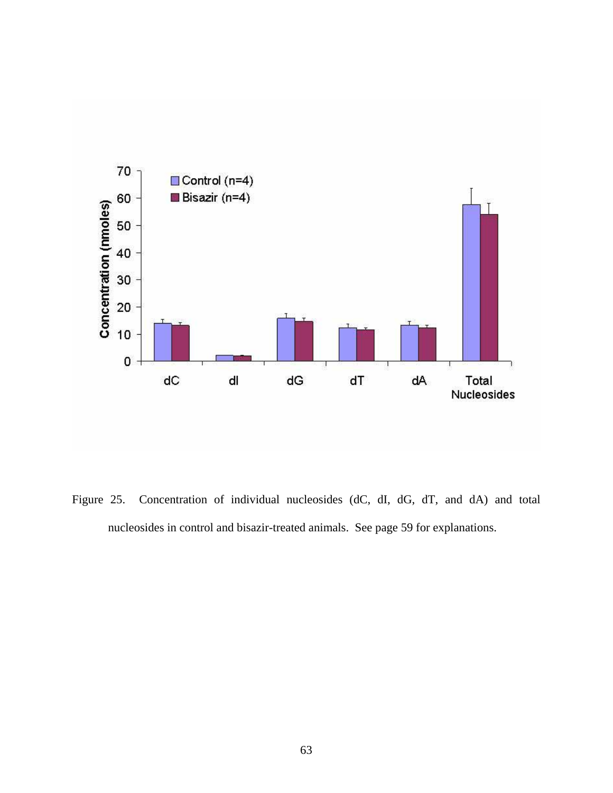

Figure 25. Concentration of individual nucleosides (dC, dI, dG, dT, and dA) and total nucleosides in control and bisazir-treated animals. See page 59 for explanations.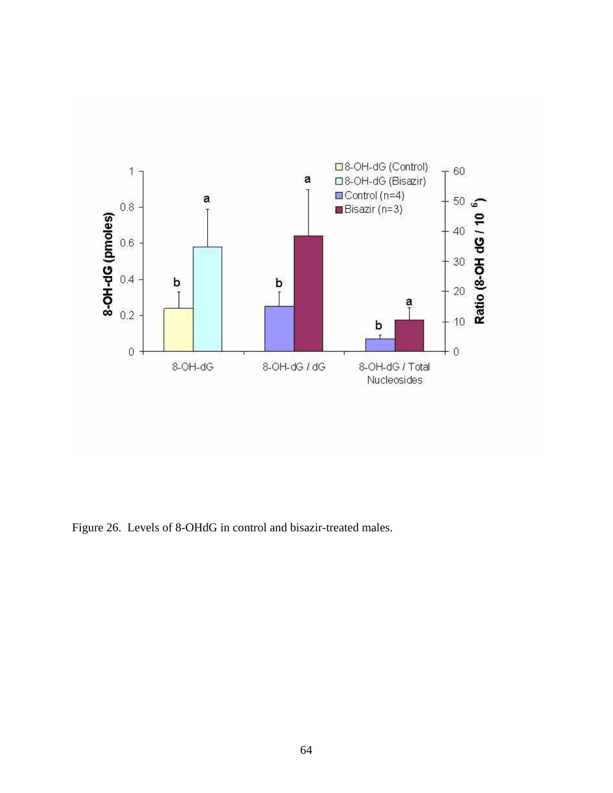

Figure 26. Levels of 8-OHdG in control and bisazir-treated males.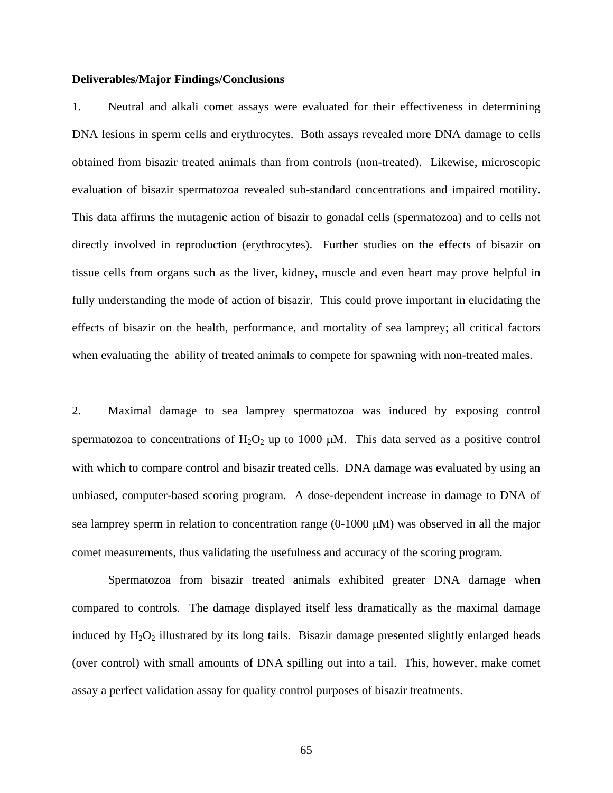#### **Deliverables/Major Findings/Conclusions**

1. Neutral and alkali comet assays were evaluated for their effectiveness in determining DNA lesions in sperm cells and erythrocytes. Both assays revealed more DNA damage to cells obtained from bisazir treated animals than from controls (non-treated). Likewise, microscopic evaluation of bisazir spermatozoa revealed sub-standard concentrations and impaired motility. This data affirms the mutagenic action of bisazir to gonadal cells (spermatozoa) and to cells not directly involved in reproduction (erythrocytes). Further studies on the effects of bisazir on tissue cells from organs such as the liver, kidney, muscle and even heart may prove helpful in fully understanding the mode of action of bisazir. This could prove important in elucidating the effects of bisazir on the health, performance, and mortality of sea lamprey; all critical factors when evaluating the ability of treated animals to compete for spawning with non-treated males.

2. Maximal damage to sea lamprey spermatozoa was induced by exposing control spermatozoa to concentrations of  $H_2O_2$  up to 1000  $\mu$ M. This data served as a positive control with which to compare control and bisazir treated cells. DNA damage was evaluated by using an unbiased, computer-based scoring program. A dose-dependent increase in damage to DNA of sea lamprey sperm in relation to concentration range (0-1000  $\mu$ M) was observed in all the major comet measurements, thus validating the usefulness and accuracy of the scoring program.

Spermatozoa from bisazir treated animals exhibited greater DNA damage when compared to controls. The damage displayed itself less dramatically as the maximal damage induced by  $H_2O_2$  illustrated by its long tails. Bisazir damage presented slightly enlarged heads (over control) with small amounts of DNA spilling out into a tail. This, however, make comet assay a perfect validation assay for quality control purposes of bisazir treatments.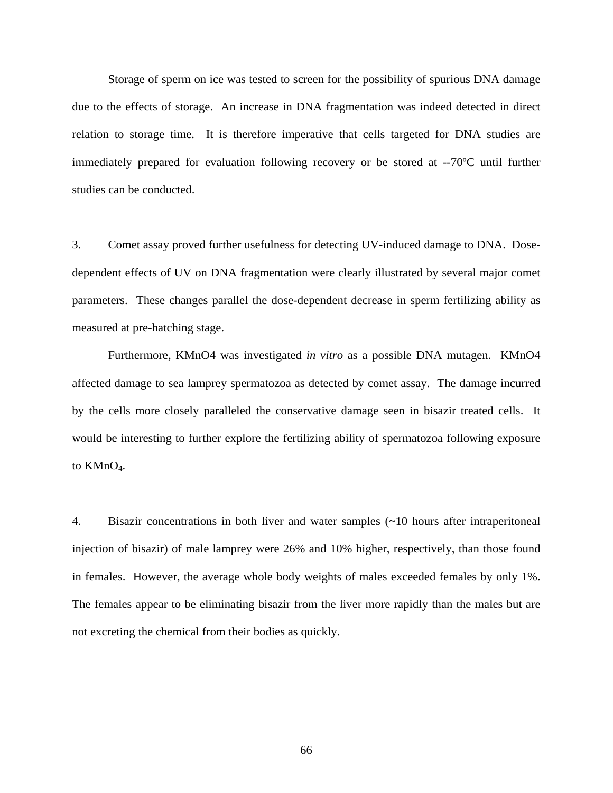Storage of sperm on ice was tested to screen for the possibility of spurious DNA damage due to the effects of storage. An increase in DNA fragmentation was indeed detected in direct relation to storage time. It is therefore imperative that cells targeted for DNA studies are immediately prepared for evaluation following recovery or be stored at --70ºC until further studies can be conducted.

3. Comet assay proved further usefulness for detecting UV-induced damage to DNA. Dosedependent effects of UV on DNA fragmentation were clearly illustrated by several major comet parameters. These changes parallel the dose-dependent decrease in sperm fertilizing ability as measured at pre-hatching stage.

Furthermore, KMnO4 was investigated *in vitro* as a possible DNA mutagen. KMnO4 affected damage to sea lamprey spermatozoa as detected by comet assay. The damage incurred by the cells more closely paralleled the conservative damage seen in bisazir treated cells. It would be interesting to further explore the fertilizing ability of spermatozoa following exposure to KMnO<sub>4</sub>.

4. Bisazir concentrations in both liver and water samples (~10 hours after intraperitoneal injection of bisazir) of male lamprey were 26% and 10% higher, respectively, than those found in females. However, the average whole body weights of males exceeded females by only 1%. The females appear to be eliminating bisazir from the liver more rapidly than the males but are not excreting the chemical from their bodies as quickly.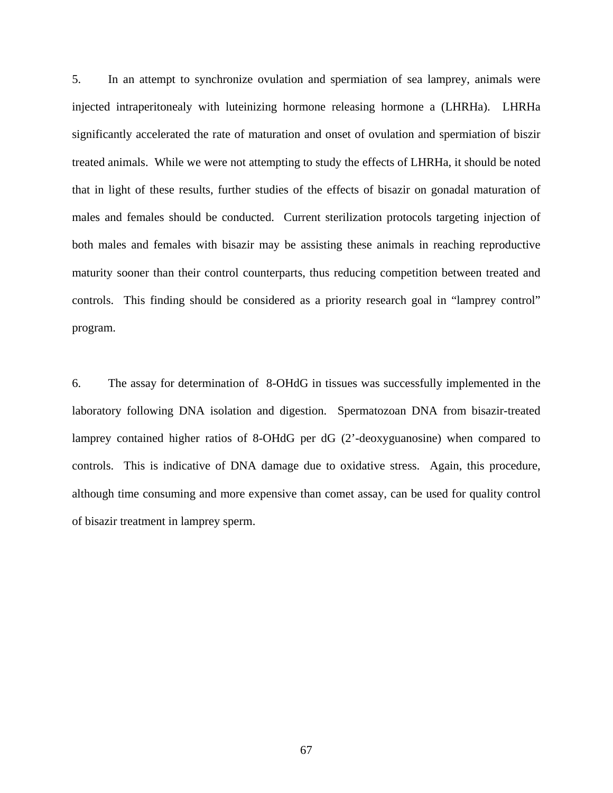5. In an attempt to synchronize ovulation and spermiation of sea lamprey, animals were injected intraperitonealy with luteinizing hormone releasing hormone a (LHRHa). LHRHa significantly accelerated the rate of maturation and onset of ovulation and spermiation of biszir treated animals. While we were not attempting to study the effects of LHRHa, it should be noted that in light of these results, further studies of the effects of bisazir on gonadal maturation of males and females should be conducted. Current sterilization protocols targeting injection of both males and females with bisazir may be assisting these animals in reaching reproductive maturity sooner than their control counterparts, thus reducing competition between treated and controls. This finding should be considered as a priority research goal in "lamprey control" program.

6. The assay for determination of 8-OHdG in tissues was successfully implemented in the laboratory following DNA isolation and digestion. Spermatozoan DNA from bisazir-treated lamprey contained higher ratios of 8-OHdG per dG (2'-deoxyguanosine) when compared to controls. This is indicative of DNA damage due to oxidative stress. Again, this procedure, although time consuming and more expensive than comet assay, can be used for quality control of bisazir treatment in lamprey sperm.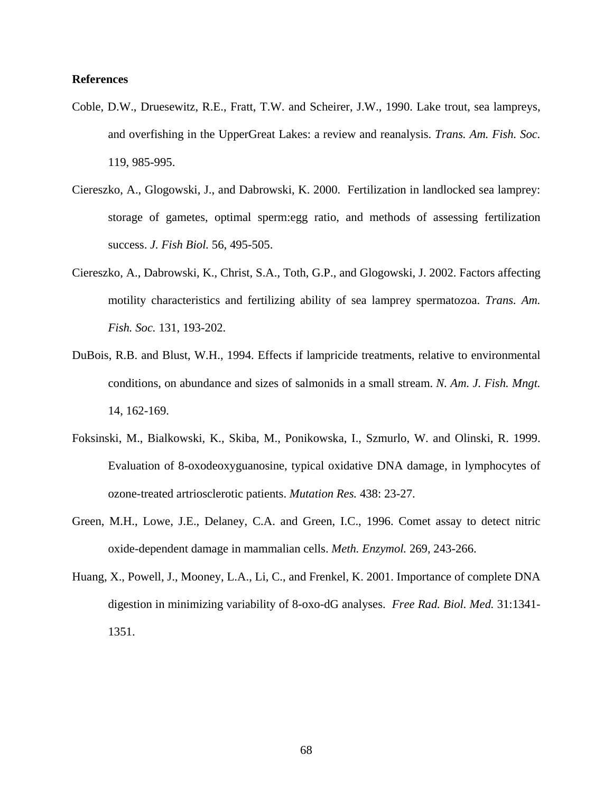### **References**

- Coble, D.W., Druesewitz, R.E., Fratt, T.W. and Scheirer, J.W., 1990. Lake trout, sea lampreys, and overfishing in the UpperGreat Lakes: a review and reanalysis. *Trans. Am. Fish. Soc.* 119, 985-995.
- Ciereszko, A., Glogowski, J., and Dabrowski, K. 2000. Fertilization in landlocked sea lamprey: storage of gametes, optimal sperm:egg ratio, and methods of assessing fertilization success. *J. Fish Biol.* 56, 495-505.
- Ciereszko, A., Dabrowski, K., Christ, S.A., Toth, G.P., and Glogowski, J. 2002. Factors affecting motility characteristics and fertilizing ability of sea lamprey spermatozoa. *Trans. Am. Fish. Soc.* 131, 193-202.
- DuBois, R.B. and Blust, W.H., 1994. Effects if lampricide treatments, relative to environmental conditions, on abundance and sizes of salmonids in a small stream. *N. Am. J. Fish. Mngt.* 14, 162-169.
- Foksinski, M., Bialkowski, K., Skiba, M., Ponikowska, I., Szmurlo, W. and Olinski, R. 1999. Evaluation of 8-oxodeoxyguanosine, typical oxidative DNA damage, in lymphocytes of ozone-treated artriosclerotic patients. *Mutation Res.* 438: 23-27.
- Green, M.H., Lowe, J.E., Delaney, C.A. and Green, I.C., 1996. Comet assay to detect nitric oxide-dependent damage in mammalian cells. *Meth. Enzymol.* 269, 243-266.
- Huang, X., Powell, J., Mooney, L.A., Li, C., and Frenkel, K. 2001. Importance of complete DNA digestion in minimizing variability of 8-oxo-dG analyses. *Free Rad. Biol. Med.* 31:1341- 1351.